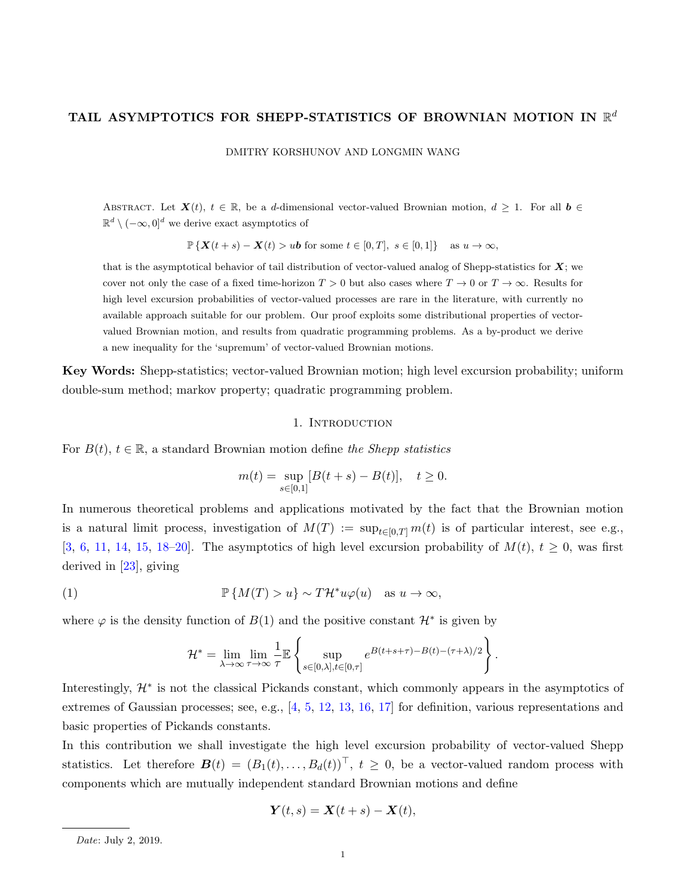# TAIL ASYMPTOTICS FOR SHEPP-STATISTICS OF BROWNIAN MOTION IN  $\mathbb{R}^d$

DMITRY KORSHUNOV AND LONGMIN WANG

ABSTRACT. Let  $\mathbf{X}(t), t \in \mathbb{R}$ , be a d-dimensional vector-valued Brownian motion,  $d \geq 1$ . For all  $b \in$  $\mathbb{R}^d \setminus (-\infty, 0]^d$  we derive exact asymptotics of

$$
\mathbb{P}\left\{\mathbf{X}(t+s)-\mathbf{X}(t)>u\mathbf{b}\text{ for some }t\in[0,T],\ s\in[0,1]\right\}\quad\text{as }u\to\infty,
$$

that is the asymptotical behavior of tail distribution of vector-valued analog of Shepp-statistics for  $X$ ; we cover not only the case of a fixed time-horizon  $T > 0$  but also cases where  $T \to 0$  or  $T \to \infty$ . Results for high level excursion probabilities of vector-valued processes are rare in the literature, with currently no available approach suitable for our problem. Our proof exploits some distributional properties of vectorvalued Brownian motion, and results from quadratic programming problems. As a by-product we derive a new inequality for the 'supremum' of vector-valued Brownian motions.

Key Words: Shepp-statistics; vector-valued Brownian motion; high level excursion probability; uniform double-sum method; markov property; quadratic programming problem.

#### 1. INTRODUCTION

For  $B(t)$ ,  $t \in \mathbb{R}$ , a standard Brownian motion define the Shepp statistics

$$
m(t) = \sup_{s \in [0,1]} [B(t+s) - B(t)], \quad t \ge 0.
$$

In numerous theoretical problems and applications motivated by the fact that the Brownian motion is a natural limit process, investigation of  $M(T) := \sup_{t \in [0,T]} m(t)$  is of particular interest, see e.g., [\[3,](#page-16-0) [6,](#page-16-1) [11,](#page-16-2) [14,](#page-16-3) [15,](#page-16-4) [18](#page-16-5)[–20\]](#page-16-6). The asymptotics of high level excursion probability of  $M(t)$ ,  $t \ge 0$ , was first derived in [\[23\]](#page-16-7), giving

(1) 
$$
\mathbb{P}\left\{M(T) > u\right\} \sim T\mathcal{H}^* u\varphi(u) \quad \text{as } u \to \infty,
$$

where  $\varphi$  is the density function of  $B(1)$  and the positive constant  $\mathcal{H}^*$  is given by

$$
\mathcal{H}^* = \lim_{\lambda \to \infty} \lim_{\tau \to \infty} \frac{1}{\tau} \mathbb{E} \left\{ \sup_{s \in [0,\lambda], t \in [0,\tau]} e^{B(t+s+\tau) - B(t) - (\tau+\lambda)/2} \right\}.
$$

Interestingly, H<sup>∗</sup> is not the classical Pickands constant, which commonly appears in the asymptotics of extremes of Gaussian processes; see, e.g., [\[4,](#page-16-8) [5,](#page-16-9) [12,](#page-16-10) [13,](#page-16-11) [16,](#page-16-12) [17\]](#page-16-13) for definition, various representations and basic properties of Pickands constants.

In this contribution we shall investigate the high level excursion probability of vector-valued Shepp statistics. Let therefore  $\mathbf{B}(t) = (B_1(t), \ldots, B_d(t))^T$ ,  $t \geq 0$ , be a vector-valued random process with components which are mutually independent standard Brownian motions and define

$$
\mathbf{Y}(t,s) = \mathbf{X}(t+s) - \mathbf{X}(t),
$$

Date: July 2, 2019.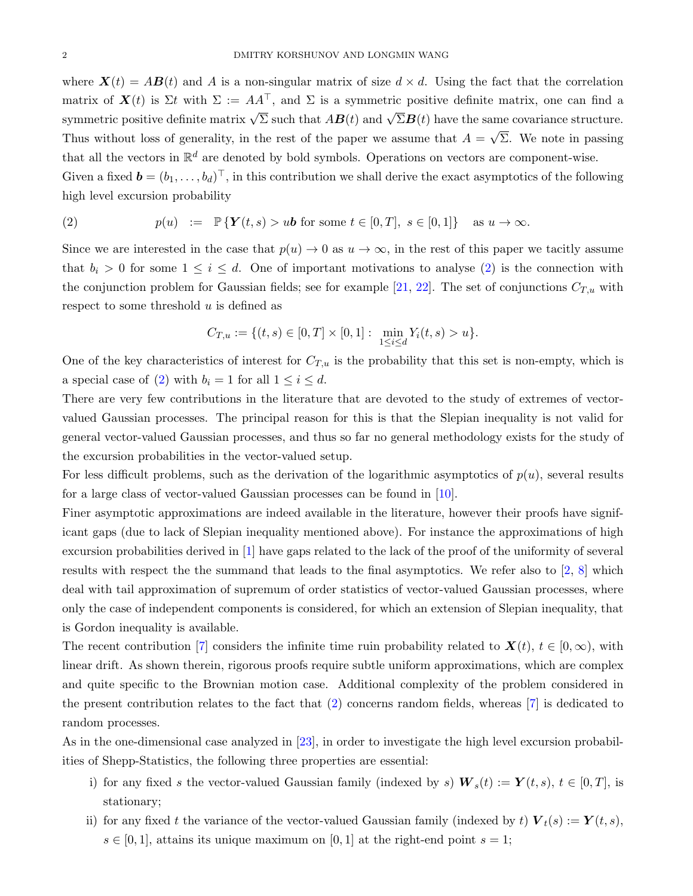where  $\mathbf{X}(t) = AB(t)$  and A is a non-singular matrix of size  $d \times d$ . Using the fact that the correlation matrix of  $\mathbf{X}(t)$  is  $\Sigma t$  with  $\Sigma := AA^{\top}$ , and  $\Sigma$  is a symmetric positive definite matrix, one can find a symmetric positive definite matrix  $\sqrt{\Sigma}$  such that  $AB(t)$  and  $\sqrt{\Sigma}B(t)$  have the same covariance structure. Thus without loss of generality, in the rest of the paper we assume that  $A =$ √ Σ. We note in passing that all the vectors in  $\mathbb{R}^d$  are denoted by bold symbols. Operations on vectors are component-wise. Given a fixed  $\mathbf{b} = (b_1, \ldots, b_d)^\top$ , in this contribution we shall derive the exact asymptotics of the following high level excursion probability

<span id="page-1-0"></span>(2) 
$$
p(u) := \mathbb{P}\left\{ \boldsymbol{Y}(t,s) > u\boldsymbol{b} \text{ for some } t \in [0,T], s \in [0,1] \right\} \text{ as } u \to \infty.
$$

Since we are interested in the case that  $p(u) \to 0$  as  $u \to \infty$ , in the rest of this paper we tacitly assume that  $b_i > 0$  for some  $1 \leq i \leq d$ . One of important motivations to analyse [\(2\)](#page-1-0) is the connection with the conjunction problem for Gaussian fields; see for example [\[21,](#page-16-14) [22\]](#page-16-15). The set of conjunctions  $C_{T,u}$  with respect to some threshold  $u$  is defined as

$$
C_{T,u} := \{ (t,s) \in [0,T] \times [0,1] : \min_{1 \le i \le d} Y_i(t,s) > u \}.
$$

One of the key characteristics of interest for  $C_{T,u}$  is the probability that this set is non-empty, which is a special case of [\(2\)](#page-1-0) with  $b_i = 1$  for all  $1 \leq i \leq d$ .

There are very few contributions in the literature that are devoted to the study of extremes of vectorvalued Gaussian processes. The principal reason for this is that the Slepian inequality is not valid for general vector-valued Gaussian processes, and thus so far no general methodology exists for the study of the excursion probabilities in the vector-valued setup.

For less difficult problems, such as the derivation of the logarithmic asymptotics of  $p(u)$ , several results for a large class of vector-valued Gaussian processes can be found in [\[10\]](#page-16-16).

Finer asymptotic approximations are indeed available in the literature, however their proofs have significant gaps (due to lack of Slepian inequality mentioned above). For instance the approximations of high excursion probabilities derived in [\[1\]](#page-15-0) have gaps related to the lack of the proof of the uniformity of several results with respect the the summand that leads to the final asymptotics. We refer also to [\[2,](#page-15-1) [8\]](#page-16-17) which deal with tail approximation of supremum of order statistics of vector-valued Gaussian processes, where only the case of independent components is considered, for which an extension of Slepian inequality, that is Gordon inequality is available.

The recent contribution [\[7\]](#page-16-18) considers the infinite time ruin probability related to  $\mathbf{X}(t)$ ,  $t \in [0,\infty)$ , with linear drift. As shown therein, rigorous proofs require subtle uniform approximations, which are complex and quite specific to the Brownian motion case. Additional complexity of the problem considered in the present contribution relates to the fact that [\(2\)](#page-1-0) concerns random fields, whereas [\[7\]](#page-16-18) is dedicated to random processes.

As in the one-dimensional case analyzed in [\[23\]](#page-16-7), in order to investigate the high level excursion probabilities of Shepp-Statistics, the following three properties are essential:

- i) for any fixed s the vector-valued Gaussian family (indexed by s)  $W_s(t) := Y(t, s), t \in [0, T]$ , is stationary;
- ii) for any fixed t the variance of the vector-valued Gaussian family (indexed by t)  $V_t(s) := Y(t, s)$ ,  $s \in [0,1]$ , attains its unique maximum on [0, 1] at the right-end point  $s = 1$ ;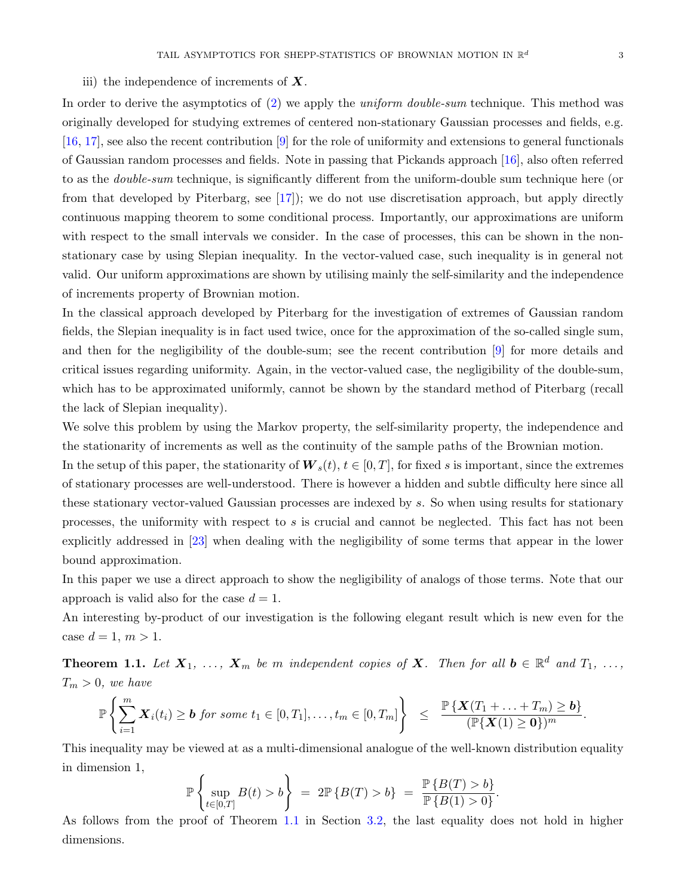In order to derive the asymptotics of [\(2\)](#page-1-0) we apply the *uniform double-sum* technique. This method was originally developed for studying extremes of centered non-stationary Gaussian processes and fields, e.g. [\[16,](#page-16-12) [17\]](#page-16-13), see also the recent contribution [\[9\]](#page-16-19) for the role of uniformity and extensions to general functionals of Gaussian random processes and fields. Note in passing that Pickands approach [\[16\]](#page-16-12), also often referred to as the *double-sum* technique, is significantly different from the uniform-double sum technique here (or from that developed by Piterbarg, see [\[17\]](#page-16-13)); we do not use discretisation approach, but apply directly continuous mapping theorem to some conditional process. Importantly, our approximations are uniform with respect to the small intervals we consider. In the case of processes, this can be shown in the nonstationary case by using Slepian inequality. In the vector-valued case, such inequality is in general not valid. Our uniform approximations are shown by utilising mainly the self-similarity and the independence of increments property of Brownian motion.

In the classical approach developed by Piterbarg for the investigation of extremes of Gaussian random fields, the Slepian inequality is in fact used twice, once for the approximation of the so-called single sum, and then for the negligibility of the double-sum; see the recent contribution [\[9\]](#page-16-19) for more details and critical issues regarding uniformity. Again, in the vector-valued case, the negligibility of the double-sum, which has to be approximated uniformly, cannot be shown by the standard method of Piterbarg (recall the lack of Slepian inequality).

We solve this problem by using the Markov property, the self-similarity property, the independence and the stationarity of increments as well as the continuity of the sample paths of the Brownian motion.

In the setup of this paper, the stationarity of  $W_s(t)$ ,  $t \in [0, T]$ , for fixed s is important, since the extremes of stationary processes are well-understood. There is however a hidden and subtle difficulty here since all these stationary vector-valued Gaussian processes are indexed by s. So when using results for stationary processes, the uniformity with respect to s is crucial and cannot be neglected. This fact has not been explicitly addressed in [\[23\]](#page-16-7) when dealing with the negligibility of some terms that appear in the lower bound approximation.

In this paper we use a direct approach to show the negligibility of analogs of those terms. Note that our approach is valid also for the case  $d = 1$ .

An interesting by-product of our investigation is the following elegant result which is new even for the case  $d = 1, m > 1$ .

<span id="page-2-0"></span>**Theorem 1.1.** Let  $X_1, \ldots, X_m$  be m independent copies of X. Then for all  $b \in \mathbb{R}^d$  and  $T_1, \ldots, T_m$  $T_m > 0$ , we have

$$
\mathbb{P}\left\{\sum_{i=1}^m \mathbf{X}_i(t_i) \geq \mathbf{b} \text{ for some } t_1 \in [0,T_1], \ldots, t_m \in [0,T_m]\right\} \leq \frac{\mathbb{P}\left\{\mathbf{X}(T_1 + \ldots + T_m) \geq \mathbf{b}\right\}}{(\mathbb{P}\left\{\mathbf{X}(1) \geq \mathbf{0}\right\})^m}.
$$

This inequality may be viewed at as a multi-dimensional analogue of the well-known distribution equality in dimension 1,

$$
\mathbb{P}\left\{\sup_{t\in[0,T]}B(t)>b\right\} = 2\mathbb{P}\left\{B(T)>b\right\} = \frac{\mathbb{P}\left\{B(T)>b\right\}}{\mathbb{P}\left\{B(1)>0\right\}}.
$$

As follows from the proof of Theorem [1.1](#page-2-0) in Section [3.2,](#page-8-0) the last equality does not hold in higher dimensions.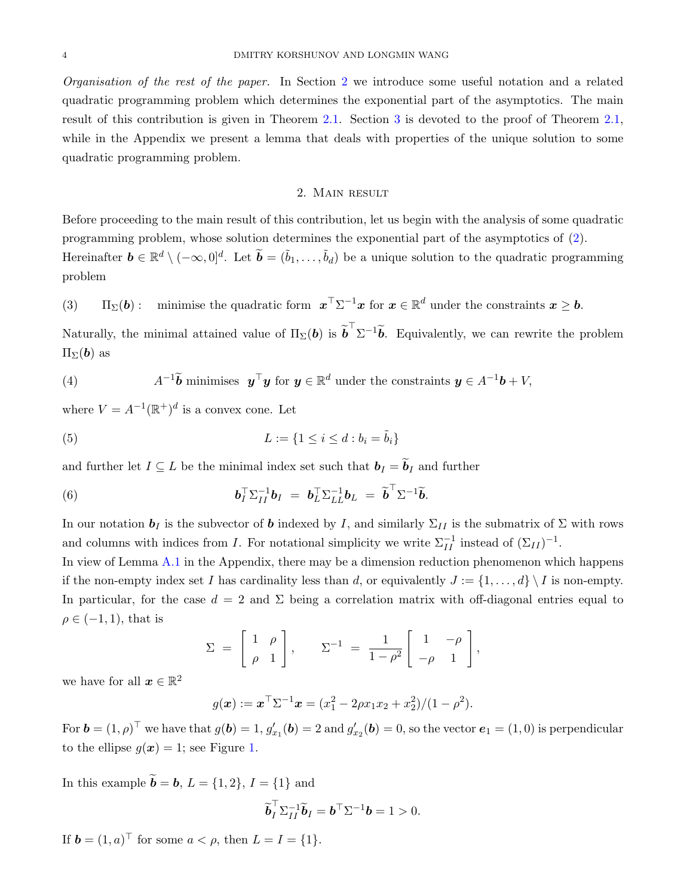Organisation of the rest of the paper. In Section [2](#page-3-0) we introduce some useful notation and a related quadratic programming problem which determines the exponential part of the asymptotics. The main result of this contribution is given in Theorem [2.1.](#page-4-0) Section [3](#page-5-0) is devoted to the proof of Theorem [2.1,](#page-4-0) while in the Appendix we present a lemma that deals with properties of the unique solution to some quadratic programming problem.

# 2. Main result

<span id="page-3-0"></span>Before proceeding to the main result of this contribution, let us begin with the analysis of some quadratic programming problem, whose solution determines the exponential part of the asymptotics of [\(2\)](#page-1-0). Hereinafter  $\mathbf{b} \in \mathbb{R}^d \setminus (-\infty,0]^d$ . Let  $\widetilde{\mathbf{b}} = (\widetilde{b}_1,\ldots,\widetilde{b}_d)$  be a unique solution to the quadratic programming problem

<span id="page-3-1"></span>(3) 
$$
\Pi_{\Sigma}(\boldsymbol{b}):
$$
 minimise the quadratic form  $\boldsymbol{x}^{\top} \Sigma^{-1} \boldsymbol{x}$  for  $\boldsymbol{x} \in \mathbb{R}^d$  under the constraints  $\boldsymbol{x} \geq \boldsymbol{b}$ .

Naturally, the minimal attained value of  $\Pi_{\Sigma}(\boldsymbol{b})$  is  $\tilde{\boldsymbol{b}}^{\top} \Sigma^{-1} \tilde{\boldsymbol{b}}$ . Equivalently, we can rewrite the problem  $\Pi_{\Sigma}(\boldsymbol{b})$  as

(4) 
$$
A^{-1}\tilde{b}
$$
 minimises  $\mathbf{y}^\top \mathbf{y}$  for  $\mathbf{y} \in \mathbb{R}^d$  under the constraints  $\mathbf{y} \in A^{-1}\mathbf{b} + V$ ,

where  $V = A^{-1}(\mathbb{R}^+)^d$  is a convex cone. Let

(5) 
$$
L := \{1 \le i \le d : b_i = \tilde{b}_i\}
$$

and further let  $I \subseteq L$  be the minimal index set such that  $\mathbf{b}_I = \widetilde{\mathbf{b}}_I$  and further

(6) 
$$
\boldsymbol{b}_I^\top \Sigma_{II}^{-1} \boldsymbol{b}_I = \boldsymbol{b}_L^\top \Sigma_{LL}^{-1} \boldsymbol{b}_L = \widetilde{\boldsymbol{b}}^\top \Sigma^{-1} \widetilde{\boldsymbol{b}}.
$$

In our notation  $b_I$  is the subvector of b indexed by I, and similarly  $\Sigma_{II}$  is the submatrix of  $\Sigma$  with rows and columns with indices from I. For notational simplicity we write  $\Sigma_{II}^{-1}$  instead of  $(\Sigma_{II})^{-1}$ .

In view of Lemma [A.1](#page-15-2) in the Appendix, there may be a dimension reduction phenomenon which happens if the non-empty index set I has cardinality less than d, or equivalently  $J := \{1, \ldots, d\} \setminus I$  is non-empty. In particular, for the case  $d = 2$  and  $\Sigma$  being a correlation matrix with off-diagonal entries equal to  $\rho \in (-1,1)$ , that is

$$
\Sigma = \begin{bmatrix} 1 & \rho \\ \rho & 1 \end{bmatrix}, \qquad \Sigma^{-1} = \frac{1}{1 - \rho^2} \begin{bmatrix} 1 & -\rho \\ -\rho & 1 \end{bmatrix},
$$

we have for all  $\boldsymbol{x} \in \mathbb{R}^2$ 

$$
g(\boldsymbol{x}) := \boldsymbol{x}^\top \Sigma^{-1} \boldsymbol{x} = (x_1^2 - 2\rho x_1 x_2 + x_2^2)/(1 - \rho^2).
$$

For  $\mathbf{b} = (1, \rho)^\top$  we have that  $g(\mathbf{b}) = 1$ ,  $g'_{x_1}(\mathbf{b}) = 2$  and  $g'_{x_2}(\mathbf{b}) = 0$ , so the vector  $\mathbf{e}_1 = (1, 0)$  is perpendicular to the ellipse  $g(x) = 1$ ; see Figure [1.](#page-4-1)

In this example  $\tilde{\mathbf{b}} = \mathbf{b}, L = \{1, 2\}, I = \{1\}$  and

$$
\widetilde{\boldsymbol{b}}_I^\top \Sigma_{II}^{-1} \widetilde{\boldsymbol{b}}_I = \boldsymbol{b}^\top \Sigma^{-1} \boldsymbol{b} = 1 > 0.
$$

If  $\mathbf{b} = (1, a)^\top$  for some  $a < \rho$ , then  $L = I = \{1\}.$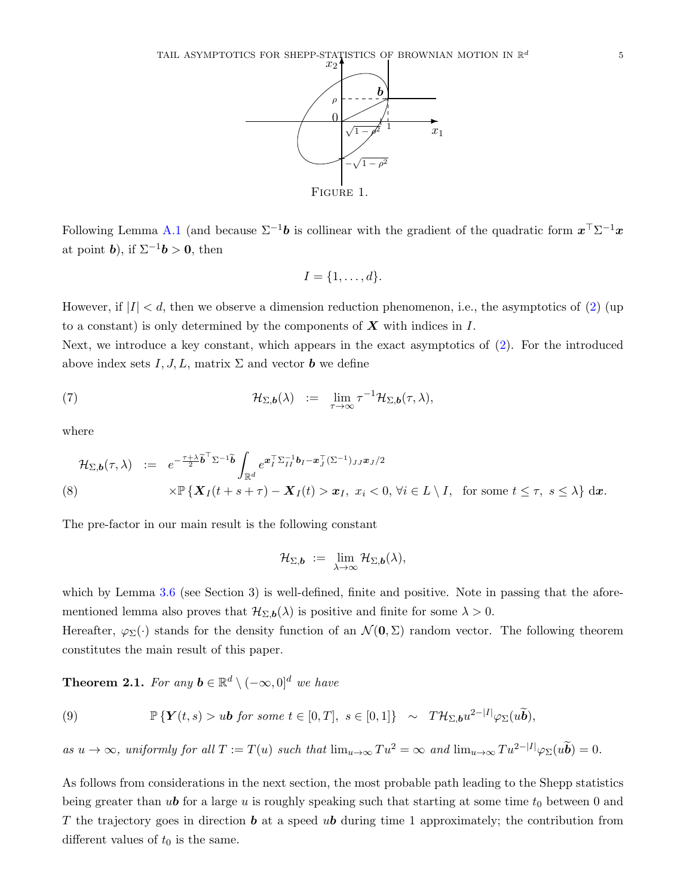

Following Lemma [A.1](#page-15-2) (and because  $\Sigma^{-1}b$  is collinear with the gradient of the quadratic form  $x^{\top} \Sigma^{-1} x$ at point **b**), if  $\Sigma^{-1}$ **b** > 0, then

<span id="page-4-1"></span>
$$
I = \{1, \ldots, d\}.
$$

However, if  $|I| < d$ , then we observe a dimension reduction phenomenon, i.e., the asymptotics of [\(2\)](#page-1-0) (up to a constant) is only determined by the components of  $X$  with indices in  $I$ .

Next, we introduce a key constant, which appears in the exact asymptotics of [\(2\)](#page-1-0). For the introduced above index sets  $I, J, L$ , matrix  $\Sigma$  and vector **b** we define

(7) 
$$
\mathcal{H}_{\Sigma,\boldsymbol{b}}(\lambda) := \lim_{\tau \to \infty} \tau^{-1} \mathcal{H}_{\Sigma,\boldsymbol{b}}(\tau,\lambda),
$$

where

<span id="page-4-2"></span>
$$
\mathcal{H}_{\Sigma,\mathbf{b}}(\tau,\lambda) := e^{-\frac{\tau+\lambda}{2}\widetilde{\mathbf{b}}^{\top}\Sigma^{-1}\widetilde{\mathbf{b}}}\int_{\mathbb{R}^d} e^{\mathbf{x}_I^{\top}\Sigma_{II}^{-1}\mathbf{b}_I-\mathbf{x}_J^{\top}(\Sigma^{-1})_{JJ}\mathbf{x}_J/2} \times \mathbb{P}\left\{\mathbf{X}_I(t+s+\tau)-\mathbf{X}_I(t) > \mathbf{x}_I, \ x_i < 0, \ \forall i \in L \setminus I, \ \text{ for some } t \leq \tau, \ s \leq \lambda\right\} d\mathbf{x}.
$$

The pre-factor in our main result is the following constant

$$
\mathcal{H}_{\Sigma,\boldsymbol{b}}\ :=\ \lim_{\lambda\to\infty}\mathcal{H}_{\Sigma,\boldsymbol{b}}(\lambda),
$$

which by Lemma [3.6](#page-14-0) (see Section 3) is well-defined, finite and positive. Note in passing that the aforementioned lemma also proves that  $\mathcal{H}_{\Sigma,\mathbf{b}}(\lambda)$  is positive and finite for some  $\lambda > 0$ .

Hereafter,  $\varphi_{\Sigma}(\cdot)$  stands for the density function of an  $\mathcal{N}(\mathbf{0},\Sigma)$  random vector. The following theorem constitutes the main result of this paper.

<span id="page-4-0"></span>**Theorem 2.1.** For any  $\mathbf{b} \in \mathbb{R}^d \setminus (-\infty, 0]^d$  we have

(9) 
$$
\mathbb{P}\left\{ \boldsymbol{Y}(t,s) > u\boldsymbol{b} \text{ for some } t \in [0,T], s \in [0,1] \right\} \sim T\mathcal{H}_{\Sigma,\boldsymbol{b}}u^{2-|I|}\varphi_{\Sigma}(u\widetilde{\boldsymbol{b}}),
$$

as  $u \to \infty$ , uniformly for all  $T := T(u)$  such that  $\lim_{u \to \infty} Tu^2 = \infty$  and  $\lim_{u \to \infty} Tu^{2-|I|} \varphi_{\Sigma}(u\widetilde{\boldsymbol{b}}) = 0$ .

As follows from considerations in the next section, the most probable path leading to the Shepp statistics being greater than ub for a large u is roughly speaking such that starting at some time  $t_0$  between 0 and T the trajectory goes in direction  $\boldsymbol{b}$  at a speed  $\boldsymbol{u}$  during time 1 approximately; the contribution from different values of  $t_0$  is the same.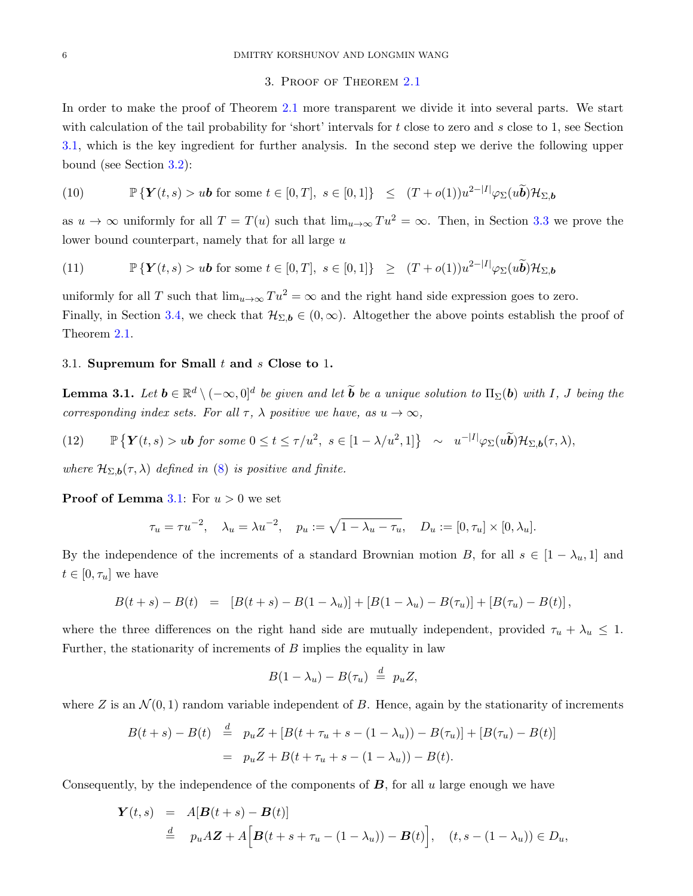## 3. Proof of Theorem [2.1](#page-4-0)

<span id="page-5-0"></span>In order to make the proof of Theorem [2.1](#page-4-0) more transparent we divide it into several parts. We start with calculation of the tail probability for 'short' intervals for  $t$  close to zero and  $s$  close to 1, see Section [3.1,](#page-5-1) which is the key ingredient for further analysis. In the second step we derive the following upper bound (see Section [3.2\)](#page-8-0):

<span id="page-5-3"></span>(10) 
$$
\mathbb{P}\left\{Y(t,s) > u\mathbf{b} \text{ for some } t \in [0,T], s \in [0,1]\right\} \leq (T+o(1))u^{2-|I|}\varphi_{\Sigma}(u\widetilde{\mathbf{b}})\mathcal{H}_{\Sigma,\mathbf{b}}
$$

as  $u \to \infty$  uniformly for all  $T = T(u)$  such that  $\lim_{u \to \infty} Tu^2 = \infty$ . Then, in Section [3.3](#page-11-0) we prove the lower bound counterpart, namely that for all large u

<span id="page-5-4"></span>(11) 
$$
\mathbb{P}\left\{Y(t,s) > u\mathbf{b} \text{ for some } t \in [0,T], s \in [0,1]\right\} \geq (T+o(1))u^{2-|I|}\varphi_{\Sigma}(u\widetilde{\mathbf{b}})\mathcal{H}_{\Sigma,\mathbf{b}}
$$

uniformly for all T such that  $\lim_{u\to\infty} Tu^2 = \infty$  and the right hand side expression goes to zero. Finally, in Section [3.4,](#page-14-1) we check that  $\mathcal{H}_{\Sigma,\mathbf{b}} \in (0,\infty)$ . Altogether the above points establish the proof of Theorem [2.1.](#page-4-0)

#### <span id="page-5-1"></span>3.1. Supremum for Small  $t$  and  $s$  Close to 1.

<span id="page-5-2"></span>**Lemma 3.1.** Let  $b \in \mathbb{R}^d \setminus (-\infty, 0]^d$  be given and let  $\widetilde{b}$  be a unique solution to  $\Pi_{\Sigma}(b)$  with I, J being the corresponding index sets. For all  $\tau$ ,  $\lambda$  positive we have, as  $u \to \infty$ ,

(12) 
$$
\mathbb{P}\left\{Y(t,s) > u\mathbf{b} \text{ for some } 0 \leq t \leq \tau/u^2, \ s \in [1-\lambda/u^2,1]\right\} \sim u^{-|I|} \varphi_{\Sigma}(u\widetilde{\mathbf{b}}) \mathcal{H}_{\Sigma,\mathbf{b}}(\tau,\lambda),
$$

where  $\mathcal{H}_{\Sigma,\mathbf{b}}(\tau,\lambda)$  defined in [\(8\)](#page-4-2) is positive and finite.

**Proof of Lemma [3.1:](#page-5-2)** For  $u > 0$  we set

$$
\tau_u = \tau u^{-2}
$$
,  $\lambda_u = \lambda u^{-2}$ ,  $p_u := \sqrt{1 - \lambda_u - \tau_u}$ ,  $D_u := [0, \tau_u] \times [0, \lambda_u]$ .

By the independence of the increments of a standard Brownian motion B, for all  $s \in [1 - \lambda_u, 1]$  and  $t \in [0, \tau_u]$  we have

$$
B(t+s) - B(t) = [B(t+s) - B(1-\lambda_u)] + [B(1-\lambda_u) - B(\tau_u)] + [B(\tau_u) - B(t)],
$$

where the three differences on the right hand side are mutually independent, provided  $\tau_u + \lambda_u \leq 1$ . Further, the stationarity of increments of  $B$  implies the equality in law

$$
B(1-\lambda_u)-B(\tau_u)\stackrel{d}{=} p_uZ,
$$

where Z is an  $\mathcal{N}(0,1)$  random variable independent of B. Hence, again by the stationarity of increments

$$
B(t+s) - B(t) \stackrel{d}{=} p_u Z + [B(t + \tau_u + s - (1 - \lambda_u)) - B(\tau_u)] + [B(\tau_u) - B(t)]
$$
  
=  $p_u Z + B(t + \tau_u + s - (1 - \lambda_u)) - B(t).$ 

Consequently, by the independence of the components of  $\bf{B}$ , for all u large enough we have

$$
\begin{array}{rcl}\n\boldsymbol{Y}(t,s) & = & A[\boldsymbol{B}(t+s) - \boldsymbol{B}(t)] \\
& \stackrel{d}{=} & p_u A \boldsymbol{Z} + A \Big[\boldsymbol{B}(t+s+\tau_u - (1-\lambda_u)) - \boldsymbol{B}(t)\Big], \quad (t,s-(1-\lambda_u)) \in D_u,\n\end{array}
$$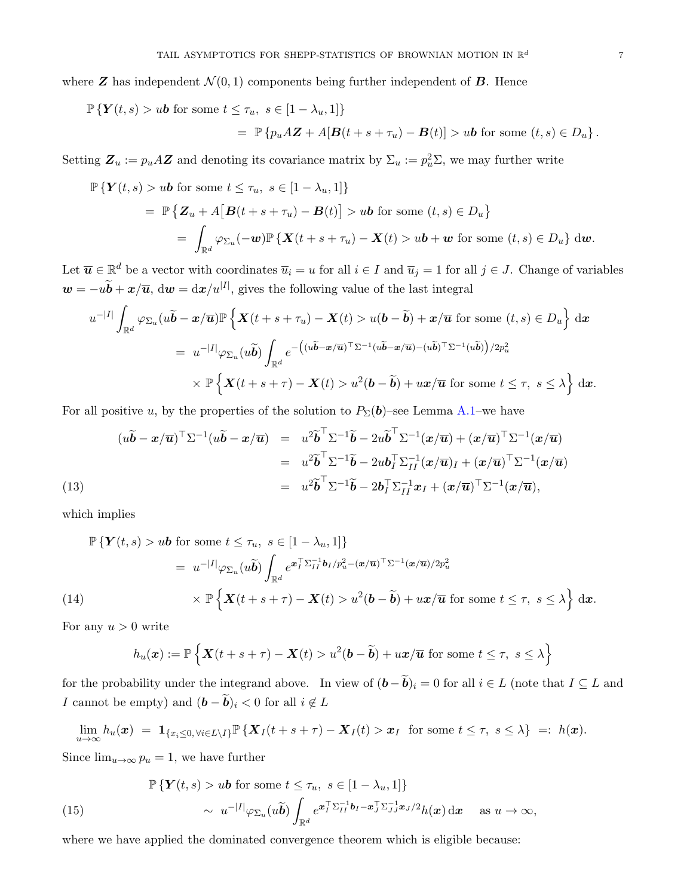$$
\mathbb{P}\left\{Y(t,s) > u\mathbf{b} \text{ for some } t \leq \tau_u, s \in [1 - \lambda_u, 1]\right\}
$$
  
= 
$$
\mathbb{P}\left\{p_u A \mathbf{Z} + A[\mathbf{B}(t + s + \tau_u) - \mathbf{B}(t)] > u\mathbf{b} \text{ for some } (t,s) \in D_u\right\}.
$$

Setting  $\mathbf{Z}_u := p_u A \mathbf{Z}$  and denoting its covariance matrix by  $\Sigma_u := p_u^2 \Sigma$ , we may further write

$$
\mathbb{P}\left\{Y(t,s) > u\mathbf{b} \text{ for some } t \leq \tau_u, \ s \in [1 - \lambda_u, 1] \right\}
$$
\n
$$
= \mathbb{P}\left\{Z_u + A\big[B(t+s+\tau_u) - B(t)\big] > u\mathbf{b} \text{ for some } (t,s) \in D_u\right\}
$$
\n
$$
= \int_{\mathbb{R}^d} \varphi_{\Sigma_u}(-\mathbf{w}) \mathbb{P}\left\{X(t+s+\tau_u) - X(t) > u\mathbf{b} + \mathbf{w} \text{ for some } (t,s) \in D_u\right\} \, \mathrm{d}\mathbf{w}.
$$

Let  $\overline{u} \in \mathbb{R}^d$  be a vector with coordinates  $\overline{u}_i = u$  for all  $i \in I$  and  $\overline{u}_j = 1$  for all  $j \in J$ . Change of variables  $w = -u\tilde{b} + x/\overline{u}$ ,  $dw = dx/u^{|I|}$ , gives the following value of the last integral

$$
u^{-|I|} \int_{\mathbb{R}^d} \varphi_{\Sigma_u}(u\tilde{\boldsymbol{b}} - \boldsymbol{x}/\overline{\boldsymbol{u}}) \mathbb{P} \left\{ \boldsymbol{X}(t+s+\tau_u) - \boldsymbol{X}(t) > u(\boldsymbol{b}-\tilde{\boldsymbol{b}}) + \boldsymbol{x}/\overline{\boldsymbol{u}} \text{ for some } (t,s) \in D_u \right\} \, \mathrm{d}\boldsymbol{x}
$$
\n
$$
= u^{-|I|} \varphi_{\Sigma_u}(u\tilde{\boldsymbol{b}}) \int_{\mathbb{R}^d} e^{-\left( (u\tilde{\boldsymbol{b}} - \boldsymbol{x}/\overline{\boldsymbol{u}})^\top \Sigma^{-1} (u\tilde{\boldsymbol{b}} - \boldsymbol{x}/\overline{\boldsymbol{u}}) - (u\tilde{\boldsymbol{b}})^\top \Sigma^{-1} (u\tilde{\boldsymbol{b}}) \right) / 2p_u^2}
$$
\n
$$
\times \mathbb{P} \left\{ \boldsymbol{X}(t+s+\tau) - \boldsymbol{X}(t) > u^2(\boldsymbol{b}-\tilde{\boldsymbol{b}}) + u\boldsymbol{x}/\overline{\boldsymbol{u}} \text{ for some } t \leq \tau, \ s \leq \lambda \right\} \, \mathrm{d}\boldsymbol{x}.
$$

For all positive u, by the properties of the solution to  $P_{\Sigma}(\boldsymbol{b})$ –see Lemma [A.1–](#page-15-2)we have

<span id="page-6-2"></span>(13)  
\n
$$
(u\widetilde{b} - x/\overline{u})^{\top} \Sigma^{-1} (u\widetilde{b} - x/\overline{u}) = u^2 \widetilde{b}^{\top} \Sigma^{-1} \widetilde{b} - 2u \widetilde{b}^{\top} \Sigma^{-1} (x/\overline{u}) + (x/\overline{u})^{\top} \Sigma^{-1} (x/\overline{u})
$$
\n
$$
= u^2 \widetilde{b}^{\top} \Sigma^{-1} \widetilde{b} - 2u b_I^{\top} \Sigma_{II}^{-1} (x/\overline{u})_I + (x/\overline{u})^{\top} \Sigma^{-1} (x/\overline{u})
$$
\n
$$
= u^2 \widetilde{b}^{\top} \Sigma^{-1} \widetilde{b} - 2b_I^{\top} \Sigma_{II}^{-1} x_I + (x/\overline{u})^{\top} \Sigma^{-1} (x/\overline{u}),
$$

which implies

<span id="page-6-0"></span>
$$
\mathbb{P}\left\{Y(t,s) > u\mathbf{b} \text{ for some } t \leq \tau_u, \ s \in [1 - \lambda_u, 1]\right\}
$$
\n
$$
= u^{-|I|} \varphi_{\Sigma_u}(u\widetilde{\mathbf{b}}) \int_{\mathbb{R}^d} e^{\mathbf{x}_I^{\top} \Sigma_{II}^{-1} \mathbf{b}_I / p_u^2 - (\mathbf{x}/\overline{\mathbf{u}})^\top \Sigma^{-1} (\mathbf{x}/\overline{\mathbf{u}}) / 2p_u^2}
$$
\n
$$
\times \mathbb{P}\left\{X(t+s+\tau) - X(t) > u^2(\mathbf{b}-\widetilde{\mathbf{b}}) + u\mathbf{x}/\overline{\mathbf{u}} \text{ for some } t \leq \tau, \ s \leq \lambda\right\} d\mathbf{x}.
$$

For any  $u > 0$  write

$$
h_u(\boldsymbol{x}) := \mathbb{P}\left\{ \boldsymbol{X}(t+s+\tau) - \boldsymbol{X}(t) > u^2(\boldsymbol{b}-\widetilde{\boldsymbol{b}}) + u\boldsymbol{x}/\overline{\boldsymbol{u}} \text{ for some } t \leq \tau, \ s \leq \lambda \right\}
$$

for the probability under the integrand above. In view of  $(\mathbf{b} - \widetilde{\mathbf{b}})_i = 0$  for all  $i \in L$  (note that  $I \subseteq L$  and I cannot be empty) and  $(\boldsymbol{b} - \boldsymbol{\tilde{b}})_i < 0$  for all  $i \notin L$ 

<span id="page-6-1"></span>
$$
\lim_{u\to\infty}h_u(\boldsymbol{x}) = \mathbf{1}_{\{x_i\leq 0,\forall i\in L\setminus I\}}\mathbb{P}\left\{\boldsymbol{X}_I(t+s+\tau)-\boldsymbol{X}_I(t)>\boldsymbol{x}_I\right\} \text{ for some }t\leq \tau,\ s\leq \lambda\right\} =: h(\boldsymbol{x}).
$$

Since  $\lim_{u\to\infty} p_u = 1$ , we have further

(15) 
$$
\mathbb{P}\left\{Y(t,s) > u\mathbf{b} \text{ for some } t \leq \tau_u, s \in [1-\lambda_u, 1]\right\} \sim u^{-|I|} \varphi_{\Sigma_u}(u\widetilde{\mathbf{b}}) \int_{\mathbb{R}^d} e^{\mathbf{x}_I^\top \Sigma_{II}^{-1} \mathbf{b}_I - \mathbf{x}_J^\top \Sigma_{JJ}^{-1} \mathbf{x}_J/2} h(\mathbf{x}) \, \mathrm{d}\mathbf{x} \quad \text{as } u \to \infty,
$$

where we have applied the dominated convergence theorem which is eligible because: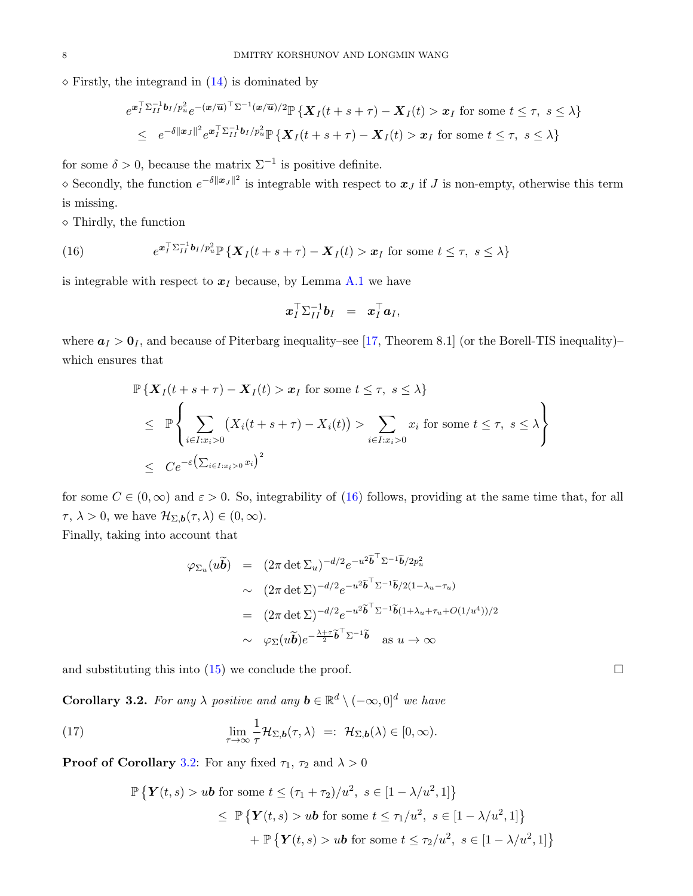$\diamond$  Firstly, the integrand in  $(14)$  is dominated by

$$
e^{\mathbf{x}_I^{\top} \Sigma_{II}^{-1} \mathbf{b}_I / p_u^2} e^{-(\mathbf{x}/\overline{\mathbf{u}})^{\top} \Sigma^{-1} (\mathbf{x}/\overline{\mathbf{u}}) / 2} \mathbb{P} \left\{ \mathbf{X}_I(t+s+\tau) - \mathbf{X}_I(t) > \mathbf{x}_I \text{ for some } t \leq \tau, \ s \leq \lambda \right\}
$$
\n
$$
\leq e^{-\delta ||\mathbf{x}_J||^2} e^{\mathbf{x}_I^{\top} \Sigma_{II}^{-1} \mathbf{b}_I / p_u^2} \mathbb{P} \left\{ \mathbf{X}_I(t+s+\tau) - \mathbf{X}_I(t) > \mathbf{x}_I \text{ for some } t \leq \tau, \ s \leq \lambda \right\}
$$

for some  $\delta > 0$ , because the matrix  $\Sigma^{-1}$  is positive definite.

 $\infty$  Secondly, the function  $e^{-\delta\|\boldsymbol{x}_J\|^2}$  is integrable with respect to  $\boldsymbol{x}_J$  if  $J$  is non-empty, otherwise this term is missing.

 $\diamond$  Thirdly, the function

<span id="page-7-0"></span>(16) 
$$
e^{\boldsymbol{x}_I^\top \Sigma_{II}^{-1} \boldsymbol{b}_I / p_u^2} \mathbb{P} \left\{ \boldsymbol{X}_I(t+s+\tau) - \boldsymbol{X}_I(t) > \boldsymbol{x}_I \text{ for some } t \leq \tau, \ s \leq \lambda \right\}
$$

is integrable with respect to  $x_I$  because, by Lemma [A.1](#page-15-2) we have

$$
\boldsymbol{x}_I^\top \Sigma_{II}^{-1} \boldsymbol{b}_I \;\; = \;\; \boldsymbol{x}_I^\top \boldsymbol{a}_I,
$$

where  $a_I > 0_I$ , and because of Piterbarg inequality–see [\[17,](#page-16-13) Theorem 8.1] (or the Borell-TIS inequality)– which ensures that

$$
\mathbb{P}\left\{\mathbf{X}_I(t+s+\tau) - \mathbf{X}_I(t) > \mathbf{x}_I \text{ for some } t \leq \tau, \ s \leq \lambda\right\}
$$
\n
$$
\leq \mathbb{P}\left\{\sum_{i \in I: x_i > 0} \left(X_i(t+s+\tau) - X_i(t)\right) > \sum_{i \in I: x_i > 0} x_i \text{ for some } t \leq \tau, \ s \leq \lambda\right\}
$$
\n
$$
\leq C e^{-\varepsilon \left(\sum_{i \in I: x_i > 0} x_i\right)^2}
$$

for some  $C \in (0,\infty)$  and  $\varepsilon > 0$ . So, integrability of [\(16\)](#page-7-0) follows, providing at the same time that, for all  $\tau, \lambda > 0$ , we have  $\mathcal{H}_{\Sigma, \mathbf{b}}(\tau, \lambda) \in (0, \infty)$ .

Finally, taking into account that

$$
\varphi_{\Sigma_u}(u\widetilde{\boldsymbol{b}}) = (2\pi \det \Sigma_u)^{-d/2} e^{-u^2 \widetilde{\boldsymbol{b}}^\top \Sigma^{-1} \widetilde{\boldsymbol{b}}/2p_u^2}
$$
  
\n
$$
\sim (2\pi \det \Sigma)^{-d/2} e^{-u^2 \widetilde{\boldsymbol{b}}^\top \Sigma^{-1} \widetilde{\boldsymbol{b}}/2(1-\lambda_u-\tau_u)}
$$
  
\n
$$
= (2\pi \det \Sigma)^{-d/2} e^{-u^2 \widetilde{\boldsymbol{b}}^\top \Sigma^{-1} \widetilde{\boldsymbol{b}}(1+\lambda_u+\tau_u+O(1/u^4))/2}
$$
  
\n
$$
\sim \varphi_{\Sigma}(u\widetilde{\boldsymbol{b}}) e^{-\frac{\lambda+\tau}{2} \widetilde{\boldsymbol{b}}^\top \Sigma^{-1} \widetilde{\boldsymbol{b}}}
$$
 as  $u \to \infty$ 

and substituting this into  $(15)$  we conclude the proof.

<span id="page-7-1"></span>**Corollary 3.2.** For any  $\lambda$  positive and any  $\mathbf{b} \in \mathbb{R}^d \setminus (-\infty,0]^d$  we have

(17) 
$$
\lim_{\tau \to \infty} \frac{1}{\tau} \mathcal{H}_{\Sigma, \mathbf{b}}(\tau, \lambda) =: \mathcal{H}_{\Sigma, \mathbf{b}}(\lambda) \in [0, \infty).
$$

**Proof of Corollary** [3.2:](#page-7-1) For any fixed  $\tau_1$ ,  $\tau_2$  and  $\lambda > 0$ 

$$
\mathbb{P}\left\{\mathbf{Y}(t,s) > u\mathbf{b} \text{ for some } t \leq (\tau_1 + \tau_2)/u^2, \ s \in [1 - \lambda/u^2, 1]\right\}
$$
  
\$\leq\$ 
$$
\mathbb{P}\left\{\mathbf{Y}(t,s) > u\mathbf{b} \text{ for some } t \leq \tau_1/u^2, \ s \in [1 - \lambda/u^2, 1]\right\}
$$
  
\$+ \mathbb{P}\left\{\mathbf{Y}(t,s) > u\mathbf{b} \text{ for some } t \leq \tau\_2/u^2, \ s \in [1 - \lambda/u^2, 1]\right\}\$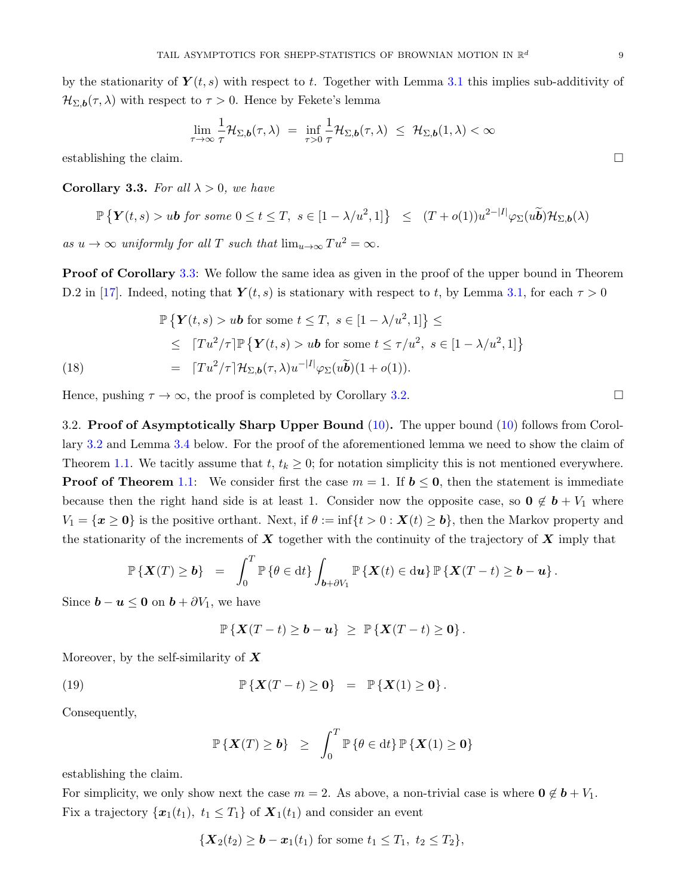$$
\lim_{\tau \to \infty} \frac{1}{\tau} \mathcal{H}_{\Sigma, \mathbf{b}}(\tau, \lambda) = \inf_{\tau > 0} \frac{1}{\tau} \mathcal{H}_{\Sigma, \mathbf{b}}(\tau, \lambda) \leq \mathcal{H}_{\Sigma, \mathbf{b}}(1, \lambda) < \infty
$$

establishing the claim.

<span id="page-8-1"></span>Corollary 3.3. For all  $\lambda > 0$ , we have

$$
\mathbb{P}\left\{\mathbf{Y}(t,s) > u\mathbf{b} \text{ for some } 0 \le t \le T, \ s \in [1 - \lambda/u^2, 1] \right\} \le (T + o(1))u^{2-|I|} \varphi_{\Sigma}(u\widetilde{\mathbf{b}}) \mathcal{H}_{\Sigma, \mathbf{b}}(\lambda)
$$

as  $u \to \infty$  uniformly for all T such that  $\lim_{u \to \infty} Tu^2 = \infty$ .

**Proof of Corollary** [3.3:](#page-8-1) We follow the same idea as given in the proof of the upper bound in Theorem D.2 in [\[17\]](#page-16-13). Indeed, noting that  $Y(t, s)$  is stationary with respect to t, by Lemma [3.1,](#page-5-2) for each  $\tau > 0$ 

<span id="page-8-3"></span>
$$
\mathbb{P}\left\{\mathbf{Y}(t,s) > u\mathbf{b} \text{ for some } t \leq T, \ s \in [1 - \lambda/u^2, 1]\right\} \leq
$$
\n
$$
\leq [Tu^2/\tau] \mathbb{P}\left\{\mathbf{Y}(t,s) > u\mathbf{b} \text{ for some } t \leq \tau/u^2, \ s \in [1 - \lambda/u^2, 1]\right\}
$$
\n
$$
= [Tu^2/\tau] \mathcal{H}_{\Sigma, \mathbf{b}}(\tau, \lambda) u^{-|I|} \varphi_{\Sigma}(u\widetilde{\mathbf{b}})(1 + o(1)).
$$

Hence, pushing  $\tau \to \infty$ , the proof is completed by Corollary [3.2.](#page-7-1)

<span id="page-8-0"></span>3.2. Proof of Asymptotically Sharp Upper Bound [\(10\)](#page-5-3). The upper bound (10) follows from Corollary [3.2](#page-7-1) and Lemma [3.4](#page-9-0) below. For the proof of the aforementioned lemma we need to show the claim of Theorem [1.1.](#page-2-0) We tacitly assume that  $t, t_k \geq 0$ ; for notation simplicity this is not mentioned everywhere. **Proof of Theorem [1.1:](#page-2-0)** We consider first the case  $m = 1$ . If  $b \le 0$ , then the statement is immediate because then the right hand side is at least 1. Consider now the opposite case, so  $0 \notin b + V_1$  where  $V_1 = \{x \ge 0\}$  is the positive orthant. Next, if  $\theta := \inf\{t > 0 : X(t) \ge b\}$ , then the Markov property and the stationarity of the increments of  $\boldsymbol{X}$  together with the continuity of the trajectory of  $\boldsymbol{X}$  imply that

$$
\mathbb{P}\left\{\mathbf{X}(T)\geq \mathbf{b}\right\} = \int_0^T \mathbb{P}\left\{\theta \in dt\right\} \int_{\mathbf{b}+\partial V_1} \mathbb{P}\left\{\mathbf{X}(t) \in du\right\} \mathbb{P}\left\{\mathbf{X}(T-t) \geq \mathbf{b}-\mathbf{u}\right\}.
$$

Since  $\mathbf{b} - \mathbf{u} \leq \mathbf{0}$  on  $\mathbf{b} + \partial V_1$ , we have

<span id="page-8-2"></span>
$$
\mathbb{P}\left\{\mathbf{X}(T-t)\geq \boldsymbol{b}-\boldsymbol{u}\right\}\ \geq\ \mathbb{P}\left\{\mathbf{X}(T-t)\geq \boldsymbol{0}\right\}.
$$

Moreover, by the self-similarity of  $X$ 

(19) 
$$
\mathbb{P}\left\{ \boldsymbol{X}(T-t) \geq \mathbf{0} \right\} = \mathbb{P}\left\{ \boldsymbol{X}(1) \geq \mathbf{0} \right\}.
$$

Consequently,

$$
\mathbb{P}\left\{\boldsymbol{X}(T)\geq \boldsymbol{b}\right\} \geq \int_0^T \mathbb{P}\left\{\theta\in dt\right\} \mathbb{P}\left\{\boldsymbol{X}(1)\geq \boldsymbol{0}\right\}
$$

establishing the claim.

For simplicity, we only show next the case  $m = 2$ . As above, a non-trivial case is where  $0 \notin b + V_1$ . Fix a trajectory  $\{x_1(t_1), t_1 \leq T_1\}$  of  $\mathbf{X}_1(t_1)$  and consider an event

$$
\{ \boldsymbol{X}_{2}(t_{2}) \geq \boldsymbol{b} - \boldsymbol{x}_{1}(t_{1}) \text{ for some } t_{1} \leq T_{1}, t_{2} \leq T_{2} \},
$$

$$
\Box
$$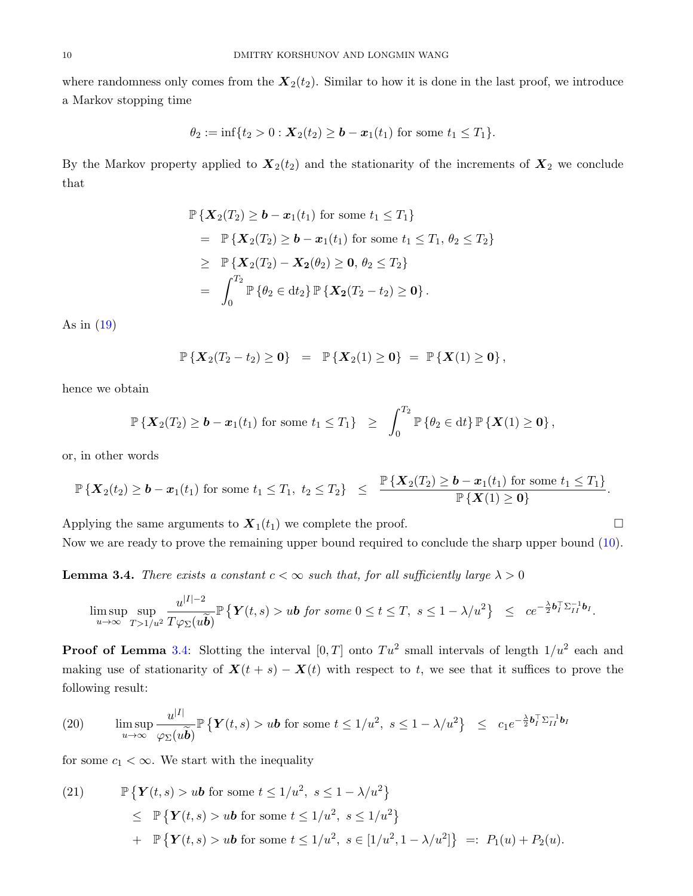where randomness only comes from the  $X_2(t_2)$ . Similar to how it is done in the last proof, we introduce a Markov stopping time

$$
\theta_2 := \inf\{t_2 > 0 : \mathbf{X}_2(t_2) \ge \mathbf{b} - \mathbf{x}_1(t_1) \text{ for some } t_1 \le T_1\}.
$$

By the Markov property applied to  $\mathbf{X}_2(t_2)$  and the stationarity of the increments of  $\mathbf{X}_2$  we conclude that

$$
\mathbb{P}\left\{X_2(T_2) \geq \mathbf{b} - \mathbf{x}_1(t_1) \text{ for some } t_1 \leq T_1\right\} \n= \mathbb{P}\left\{X_2(T_2) \geq \mathbf{b} - \mathbf{x}_1(t_1) \text{ for some } t_1 \leq T_1, \theta_2 \leq T_2\right\} \n\geq \mathbb{P}\left\{X_2(T_2) - X_2(\theta_2) \geq 0, \theta_2 \leq T_2\right\} \n= \int_0^{T_2} \mathbb{P}\left\{\theta_2 \in dt_2\right\} \mathbb{P}\left\{X_2(T_2 - t_2) \geq 0\right\}.
$$

As in [\(19\)](#page-8-2)

$$
\mathbb{P}\left\{{\bm X}_2(T_2-t_2)\geq{\bm 0}\right\}\ =\ \mathbb{P}\left\{{\bm X}_2(1)\geq{\bm 0}\right\}\ =\ \mathbb{P}\left\{{\bm X}(1)\geq{\bm 0}\right\},
$$

hence we obtain

$$
\mathbb{P}\left\{\mathbf{X}_2(T_2)\geq \boldsymbol{b}-\boldsymbol{x}_1(t_1)\text{ for some }t_1\leq T_1\right\}\ \geq\ \int_0^{T_2}\mathbb{P}\left\{\theta_2\in\mathrm{d}t\right\}\mathbb{P}\left\{\mathbf{X}(1)\geq \mathbf{0}\right\},
$$

or, in other words

$$
\mathbb{P}\left\{\boldsymbol{X}_{2}(t_2) \geq \boldsymbol{b}-\boldsymbol{x}_1(t_1) \text{ for some } t_1 \leq T_1,\ t_2 \leq T_2\right\} \leq \frac{\mathbb{P}\left\{\boldsymbol{X}_{2}(T_2) \geq \boldsymbol{b}-\boldsymbol{x}_1(t_1) \text{ for some } t_1 \leq T_1\right\}}{\mathbb{P}\left\{\boldsymbol{X}(1) \geq \boldsymbol{0}\right\}}.
$$

Applying the same arguments to  $\mathbf{X}_1(t_1)$  we complete the proof. Now we are ready to prove the remaining upper bound required to conclude the sharp upper bound [\(10\)](#page-5-3).

<span id="page-9-0"></span>**Lemma 3.4.** There exists a constant  $c < \infty$  such that, for all sufficiently large  $\lambda > 0$ 

$$
\limsup_{u\to\infty}\sup_{T>1/u^2}\frac{u^{|I|-2}}{T\varphi_{\Sigma}(u\tilde{b})}\mathbb{P}\left\{\mathbf{Y}(t,s)>u\mathbf{b}\text{ for some }0\leq t\leq T,\ s\leq 1-\lambda/u^2\right\}\ \leq\ ce^{-\frac{\lambda}{2}\mathbf{b}_I^\top\sum_{I=1}^{-1}\mathbf{b}_I}.
$$

**Proof of Lemma** [3.4:](#page-9-0) Slotting the interval  $[0,T]$  onto  $Tu^2$  small intervals of length  $1/u^2$  each and making use of stationarity of  $\mathbf{X}(t + s) - \mathbf{X}(t)$  with respect to t, we see that it suffices to prove the following result:

<span id="page-9-1"></span>(20) 
$$
\limsup_{u \to \infty} \frac{u^{|I|}}{\varphi_{\Sigma}(u\widetilde{\boldsymbol{b}})} \mathbb{P} \left\{ \boldsymbol{Y}(t,s) > u\boldsymbol{b} \text{ for some } t \leq 1/u^2, \ s \leq 1 - \lambda/u^2 \right\} \leq c_1 e^{-\frac{\lambda}{2} b_I^{\top} \Sigma_{II}^{-1} b_I}
$$

for some  $c_1 < \infty$ . We start with the inequality

(21) 
$$
\mathbb{P}\left\{\mathbf{Y}(t,s) > u\mathbf{b} \text{ for some } t \le 1/u^2, s \le 1 - \lambda/u^2\right\}
$$

$$
\leq \mathbb{P}\left\{\mathbf{Y}(t,s) > u\mathbf{b} \text{ for some } t \le 1/u^2, s \le 1/u^2\right\}
$$

$$
+ \mathbb{P}\left\{\mathbf{Y}(t,s) > u\mathbf{b} \text{ for some } t \le 1/u^2, s \in [1/u^2, 1 - \lambda/u^2]\right\} =: P_1(u) + P_2(u).
$$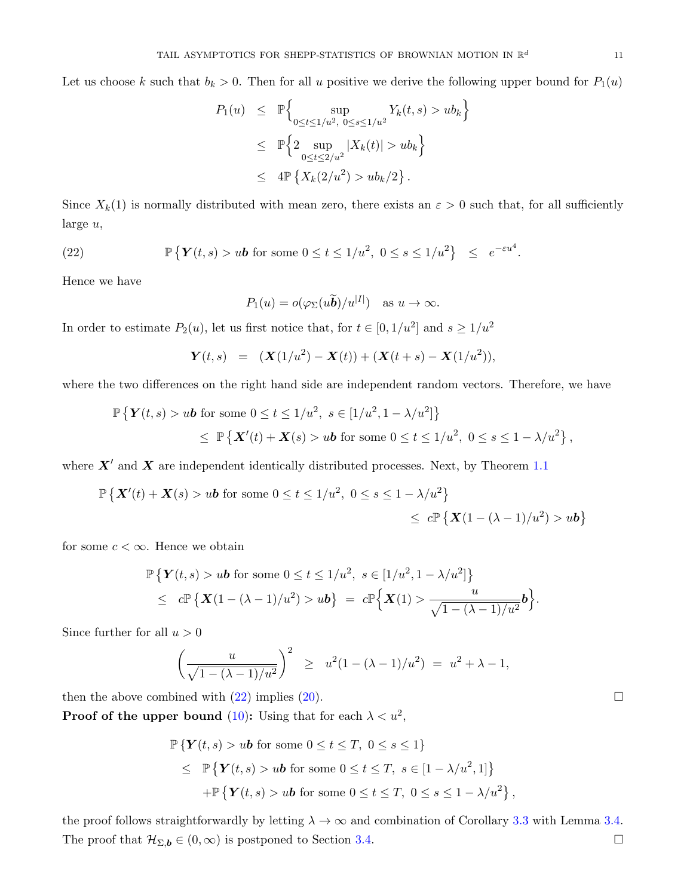Let us choose k such that  $b_k > 0$ . Then for all u positive we derive the following upper bound for  $P_1(u)$ 

$$
P_1(u) \leq \mathbb{P}\Big\{\sup_{0 \leq t \leq 1/u^2, 0 \leq s \leq 1/u^2} Y_k(t, s) > ub_k\Big\}
$$
  
 
$$
\leq \mathbb{P}\Big\{2 \sup_{0 \leq t \leq 2/u^2} |X_k(t)| > ub_k\Big\}
$$
  
 
$$
\leq 4 \mathbb{P}\left\{X_k(2/u^2) > ub_k/2\right\}.
$$

Since  $X_k(1)$  is normally distributed with mean zero, there exists an  $\varepsilon > 0$  such that, for all sufficiently large u,

(22) 
$$
\mathbb{P}\left\{ \boldsymbol{Y}(t,s) > u\boldsymbol{b} \text{ for some } 0 \leq t \leq 1/u^2, \ 0 \leq s \leq 1/u^2 \right\} \leq e^{-\varepsilon u^4}.
$$

Hence we have

<span id="page-10-0"></span>
$$
P_1(u) = o(\varphi_{\Sigma}(u\widetilde{\boldsymbol{b}})/u^{|I|}) \quad \text{as } u \to \infty.
$$

In order to estimate  $P_2(u)$ , let us first notice that, for  $t \in [0, 1/u^2]$  and  $s \geq 1/u^2$ 

$$
\mathbf{Y}(t,s) = (\mathbf{X}(1/u^{2}) - \mathbf{X}(t)) + (\mathbf{X}(t+s) - \mathbf{X}(1/u^{2})),
$$

where the two differences on the right hand side are independent random vectors. Therefore, we have

$$
\mathbb{P}\left\{Y(t,s) > u\mathbf{b} \text{ for some } 0 \le t \le 1/u^2, \ s \in [1/u^2, 1 - \lambda/u^2] \right\}
$$
  
\$\le \mathbb{P}\left\{X'(t) + X(s) > u\mathbf{b} \text{ for some } 0 \le t \le 1/u^2, \ 0 \le s \le 1 - \lambda/u^2 \right\},\$

where  $X'$  and  $X$  are independent identically distributed processes. Next, by Theorem [1.1](#page-2-0)

$$
\mathbb{P}\left\{\mathbf{X}'(t) + \mathbf{X}(s) > u\mathbf{b} \text{ for some } 0 \le t \le 1/u^2, \ 0 \le s \le 1 - \lambda/u^2\right\}
$$
\n
$$
\le c \mathbb{P}\left\{\mathbf{X}(1 - (\lambda - 1)/u^2) > u\mathbf{b}\right\}
$$

for some  $c < \infty$ . Hence we obtain

$$
\mathbb{P}\left\{ \boldsymbol{Y}(t,s) > u\boldsymbol{b} \text{ for some } 0 \le t \le 1/u^2, \ s \in [1/u^2, 1 - \lambda/u^2] \right\}
$$
\n
$$
\le c \mathbb{P}\left\{ \boldsymbol{X}(1 - (\lambda - 1)/u^2) > u\boldsymbol{b} \right\} \ = \ c \mathbb{P}\left\{ \boldsymbol{X}(1) > \frac{u}{\sqrt{1 - (\lambda - 1)/u^2}} \boldsymbol{b} \right\}.
$$

Since further for all  $u > 0$ 

$$
\left(\frac{u}{\sqrt{1-(\lambda-1)/u^2}}\right)^2 \geq u^2(1-(\lambda-1)/u^2) = u^2 + \lambda - 1,
$$

then the above combined with  $(22)$  implies  $(20)$ .

**Proof of the upper bound** [\(10\)](#page-5-3): Using that for each  $\lambda < u^2$ ,

$$
\mathbb{P}\left\{\mathbf{Y}(t,s) > u\mathbf{b} \text{ for some } 0 \le t \le T, \ 0 \le s \le 1\right\}
$$
  
\$\le \mathbb{P}\left\{\mathbf{Y}(t,s) > u\mathbf{b} \text{ for some } 0 \le t \le T, \ s \in [1 - \lambda/u^2, 1]\right\}\$  
+\mathbb{P}\left\{\mathbf{Y}(t,s) > u\mathbf{b} \text{ for some } 0 \le t \le T, \ 0 \le s \le 1 - \lambda/u^2\right\},

the proof follows straightforwardly by letting  $\lambda \to \infty$  and combination of Corollary [3.3](#page-8-1) with Lemma [3.4.](#page-9-0) The proof that  $\mathcal{H}_{\Sigma,\mathbf{b}} \in (0,\infty)$  is postponed to Section [3.4.](#page-14-1)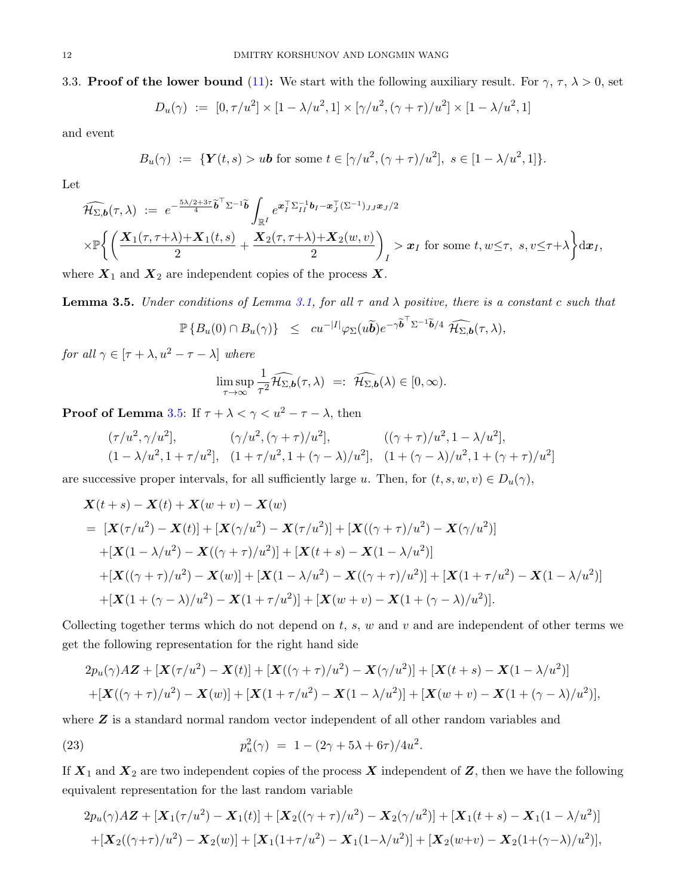$$
D_u(\gamma) := [0, \tau/u^2] \times [1 - \lambda/u^2, 1] \times [\gamma/u^2, (\gamma + \tau)/u^2] \times [1 - \lambda/u^2, 1]
$$

<span id="page-11-0"></span>and event

$$
B_u(\gamma) := \{ \mathbf{Y}(t,s) > u \mathbf{b} \text{ for some } t \in [\gamma/u^2, (\gamma + \tau)/u^2], \ s \in [1 - \lambda/u^2, 1] \}.
$$

Let

$$
\widehat{\mathcal{H}_{\Sigma,b}}(\tau,\lambda) := e^{-\frac{5\lambda/2+3\tau}{4}} \widetilde{b}^{\top} \Sigma^{-1} \widetilde{b} \int_{\mathbb{R}^I} e^{\mathbf{x}_I^{\top} \Sigma_{II}^{-1} b_I - \mathbf{x}_J^{\top} (\Sigma^{-1})_{JJ} \mathbf{x}_J/2} \times \mathbb{P} \Big\{ \Big( \frac{\mathbf{X}_1(\tau,\tau+\lambda) + \mathbf{X}_1(t,s)}{2} + \frac{\mathbf{X}_2(\tau,\tau+\lambda) + \mathbf{X}_2(w,v)}{2} \Big)_I > \mathbf{x}_I \text{ for some } t, w \leq \tau, s, v \leq \tau+\lambda \Big\} d\mathbf{x}_I,
$$

where  $X_1$  and  $X_2$  are independent copies of the process X.

<span id="page-11-1"></span>**Lemma 3.5.** Under conditions of Lemma [3.1,](#page-5-2) for all  $\tau$  and  $\lambda$  positive, there is a constant c such that

$$
\mathbb{P}\left\{B_u(0)\cap B_u(\gamma)\right\}\ \le\ cu^{-|I|}\varphi_{\Sigma}(u\widetilde{\boldsymbol{b}})e^{-\gamma\widetilde{\boldsymbol{b}}^{\top}\Sigma^{-1}\widetilde{\boldsymbol{b}}/4}\ \widehat{\mathcal{H}_{\Sigma,\boldsymbol{b}}}(\tau,\lambda),
$$

 $\text{\emph{for all}}~\gamma\in[\tau+\lambda,u^2-\tau-\lambda]$  where

$$
\limsup_{\tau\to\infty}\frac{1}{\tau^2}\widehat{\mathcal{H}_{\Sigma,\mathbf{b}}}(\tau,\lambda) =: \widehat{\mathcal{H}_{\Sigma,\mathbf{b}}}(\lambda) \in [0,\infty).
$$

**Proof of Lemma** [3.5:](#page-11-1) If  $\tau + \lambda < \gamma < u^2 - \tau - \lambda$ , then

$$
(\tau/u^2, \gamma/u^2], \qquad (\gamma/u^2, (\gamma + \tau)/u^2], \qquad ((\gamma + \tau)/u^2, 1 - \lambda/u^2],
$$
  

$$
(1 - \lambda/u^2, 1 + \tau/u^2], \quad (1 + \tau/u^2, 1 + (\gamma - \lambda)/u^2], \quad (1 + (\gamma - \lambda)/u^2, 1 + (\gamma + \tau)/u^2]
$$

are successive proper intervals, for all sufficiently large u. Then, for  $(t, s, w, v) \in D_u(\gamma)$ ,

$$
\mathbf{X}(t+s) - \mathbf{X}(t) + \mathbf{X}(w+v) - \mathbf{X}(w)
$$
\n
$$
= [\mathbf{X}(\tau/u^2) - \mathbf{X}(t)] + [\mathbf{X}(\gamma/u^2) - \mathbf{X}(\tau/u^2)] + [\mathbf{X}((\gamma + \tau)/u^2) - \mathbf{X}(\gamma/u^2)]
$$
\n
$$
+ [\mathbf{X}(1 - \lambda/u^2) - \mathbf{X}((\gamma + \tau)/u^2)] + [\mathbf{X}(t+s) - \mathbf{X}(1 - \lambda/u^2)]
$$
\n
$$
+ [\mathbf{X}((\gamma + \tau)/u^2) - \mathbf{X}(w)] + [\mathbf{X}(1 - \lambda/u^2) - \mathbf{X}((\gamma + \tau)/u^2)] + [\mathbf{X}(1 + \tau/u^2) - \mathbf{X}(1 - \lambda/u^2)]
$$
\n
$$
+ [\mathbf{X}(1 + (\gamma - \lambda)/u^2) - \mathbf{X}(1 + \tau/u^2)] + [\mathbf{X}(w+v) - \mathbf{X}(1 + (\gamma - \lambda)/u^2)].
$$

Collecting together terms which do not depend on  $t, s, w$  and  $v$  and are independent of other terms we get the following representation for the right hand side

<span id="page-11-2"></span>
$$
2p_u(\gamma)A\mathbf{Z} + [\mathbf{X}(\tau/u^2) - \mathbf{X}(t)] + [\mathbf{X}((\gamma + \tau)/u^2) - \mathbf{X}(\gamma/u^2)] + [\mathbf{X}(t+s) - \mathbf{X}(1-\lambda/u^2)]
$$
  
+ 
$$
[\mathbf{X}((\gamma + \tau)/u^2) - \mathbf{X}(w)] + [\mathbf{X}(1+\tau/u^2) - \mathbf{X}(1-\lambda/u^2)] + [\mathbf{X}(w+v) - \mathbf{X}(1+(\gamma-\lambda)/u^2)],
$$

where **Z** is a standard normal random vector independent of all other random variables and

(23) 
$$
p_u^2(\gamma) = 1 - (2\gamma + 5\lambda + 6\tau)/4u^2.
$$

If  $X_1$  and  $X_2$  are two independent copies of the process X independent of Z, then we have the following equivalent representation for the last random variable

$$
2p_u(\gamma)A\mathbf{Z} + [\mathbf{X}_1(\tau/u^2) - \mathbf{X}_1(t)] + [\mathbf{X}_2((\gamma + \tau)/u^2) - \mathbf{X}_2(\gamma/u^2)] + [\mathbf{X}_1(t+s) - \mathbf{X}_1(1-\lambda/u^2)]
$$
  
+ 
$$
[\mathbf{X}_2((\gamma + \tau)/u^2) - \mathbf{X}_2(w)] + [\mathbf{X}_1(1+\tau/u^2) - \mathbf{X}_1(1-\lambda/u^2)] + [\mathbf{X}_2(w+v) - \mathbf{X}_2(1+(\gamma-\lambda)/u^2)],
$$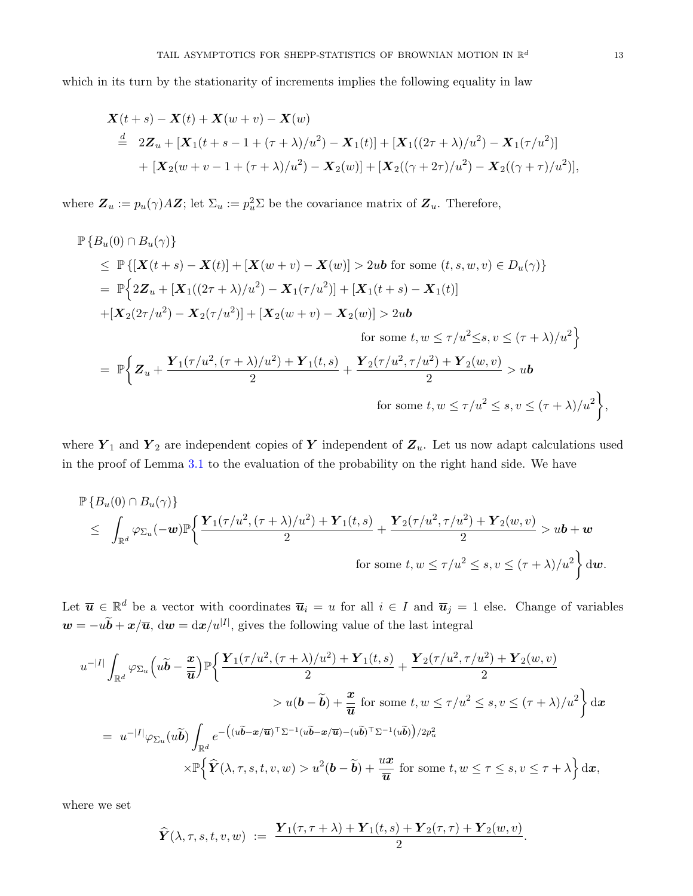which in its turn by the stationarity of increments implies the following equality in law

$$
\mathbf{X}(t+s) - \mathbf{X}(t) + \mathbf{X}(w+v) - \mathbf{X}(w)
$$
\n
$$
\stackrel{d}{=} 2\mathbf{Z}_u + [\mathbf{X}_1(t+s-1+(\tau+\lambda)/u^2) - \mathbf{X}_1(t)] + [\mathbf{X}_1((2\tau+\lambda)/u^2) - \mathbf{X}_1(\tau/u^2)]
$$
\n
$$
+ [\mathbf{X}_2(w+v-1+(\tau+\lambda)/u^2) - \mathbf{X}_2(w)] + [\mathbf{X}_2((\gamma+2\tau)/u^2) - \mathbf{X}_2((\gamma+\tau)/u^2)],
$$

where  $\mathbf{Z}_u := p_u(\gamma) A \mathbf{Z}$ ; let  $\Sigma_u := p_u^2 \Sigma$  be the covariance matrix of  $\mathbf{Z}_u$ . Therefore,

$$
\mathbb{P}\left\{B_{u}(0) \cap B_{u}(\gamma)\right\} \n\leq \mathbb{P}\left\{[\mathbf{X}(t+s) - \mathbf{X}(t)] + [\mathbf{X}(w+v) - \mathbf{X}(w)] > 2u\mathbf{b} \text{ for some } (t,s,w,v) \in D_{u}(\gamma)\right\} \n= \mathbb{P}\left\{2\mathbf{Z}_{u} + [\mathbf{X}_{1}((2\tau+\lambda)/u^{2}) - \mathbf{X}_{1}(\tau/u^{2})] + [\mathbf{X}_{1}(t+s) - \mathbf{X}_{1}(t)] \n+ [\mathbf{X}_{2}(2\tau/u^{2}) - \mathbf{X}_{2}(\tau/u^{2})] + [\mathbf{X}_{2}(w+v) - \mathbf{X}_{2}(w)] > 2u\mathbf{b} \n\text{ for some } t, w \leq \tau/u^{2} \leq s, v \leq (\tau+\lambda)/u^{2}\right\} \n= \mathbb{P}\left\{\mathbf{Z}_{u} + \frac{\mathbf{Y}_{1}(\tau/u^{2}, (\tau+\lambda)/u^{2}) + \mathbf{Y}_{1}(t,s)}{2} + \frac{\mathbf{Y}_{2}(\tau/u^{2}, \tau/u^{2}) + \mathbf{Y}_{2}(w,v)}{2} > u\mathbf{b} \n\text{ for some } t, w \leq \tau/u^{2} \leq s, v \leq (\tau+\lambda)/u^{2}\right\},
$$

where  $Y_1$  and  $Y_2$  are independent copies of Y independent of  $Z_u$ . Let us now adapt calculations used in the proof of Lemma [3.1](#page-5-2) to the evaluation of the probability on the right hand side. We have

$$
\mathbb{P}\left\{B_u(0) \cap B_u(\gamma)\right\}
$$
\n
$$
\leq \int_{\mathbb{R}^d} \varphi_{\Sigma_u}(-\mathbf{w}) \mathbb{P}\left\{\frac{\mathbf{Y}_1(\tau/u^2, (\tau+\lambda)/u^2) + \mathbf{Y}_1(t,s)}{2} + \frac{\mathbf{Y}_2(\tau/u^2, \tau/u^2) + \mathbf{Y}_2(w,v)}{2} > u\mathbf{b} + \mathbf{w}
$$
\n
$$
\text{for some } t, w \leq \tau/u^2 \leq s, v \leq (\tau+\lambda)/u^2\right\} \mathrm{d}\mathbf{w}.
$$

Let  $\overline{u} \in \mathbb{R}^d$  be a vector with coordinates  $\overline{u}_i = u$  for all  $i \in I$  and  $\overline{u}_j = 1$  else. Change of variables  $w = -u\tilde{b} + x/\overline{u}$ ,  $dw = dx/u^{|I|}$ , gives the following value of the last integral

<span id="page-12-0"></span>
$$
u^{-|I|} \int_{\mathbb{R}^d} \varphi_{\Sigma_u} \left( u\widetilde{\mathbf{b}} - \frac{x}{\overline{u}} \right) \mathbb{P} \left\{ \frac{\mathbf{Y}_1(\tau/u^2, (\tau + \lambda)/u^2) + \mathbf{Y}_1(t, s)}{2} + \frac{\mathbf{Y}_2(\tau/u^2, \tau/u^2) + \mathbf{Y}_2(w, v)}{2} \right\}
$$
  
\n
$$
> u(\mathbf{b} - \widetilde{\mathbf{b}}) + \frac{x}{\overline{u}} \text{ for some } t, w \le \tau/u^2 \le s, v \le (\tau + \lambda)/u^2 \right\} dx
$$
  
\n
$$
= u^{-|I|} \varphi_{\Sigma_u}(u\widetilde{\mathbf{b}}) \int_{\mathbb{R}^d} e^{-\left( (u\widetilde{\mathbf{b}} - x/\overline{u})^\top \Sigma^{-1} (u\widetilde{\mathbf{b}} - x/\overline{u}) - (u\widetilde{\mathbf{b}})^\top \Sigma^{-1} (u\widetilde{\mathbf{b}}) \right) / 2p_u^2}
$$
  
\n
$$
\times \mathbb{P} \left\{ \widehat{\mathbf{Y}}(\lambda, \tau, s, t, v, w) > u^2(\mathbf{b} - \widetilde{\mathbf{b}}) + \frac{ux}{\overline{u}} \text{ for some } t, w \le \tau \le s, v \le \tau + \lambda \right\} dx,
$$

where we set

$$
\widehat{\boldsymbol{Y}}(\lambda,\tau,s,t,v,w) \ := \ \frac{\boldsymbol{Y}_1(\tau,\tau+\lambda) + \boldsymbol{Y}_1(t,s) + \boldsymbol{Y}_2(\tau,\tau) + \boldsymbol{Y}_2(w,v)}{2}.
$$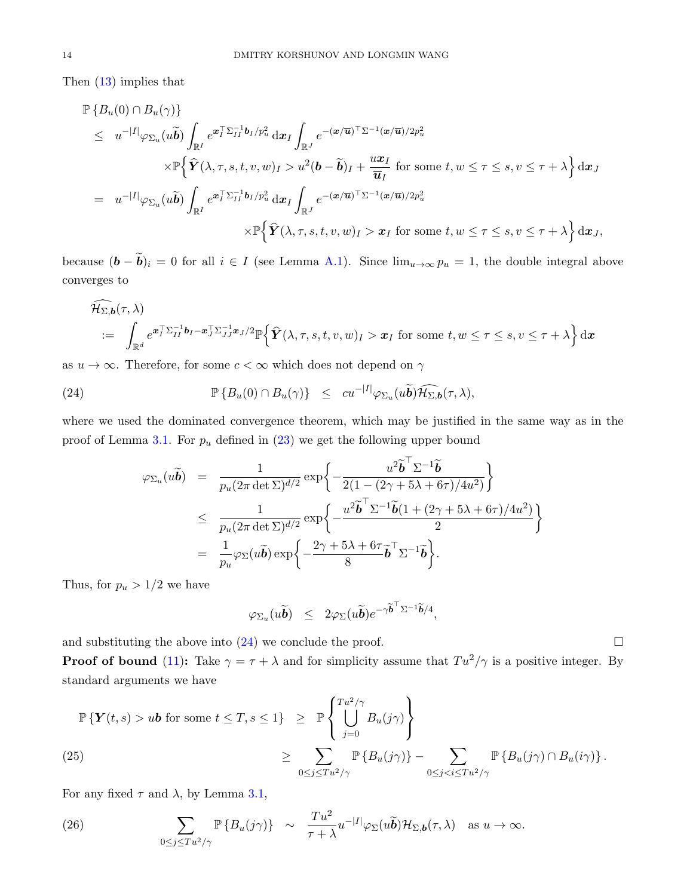Then [\(13\)](#page-6-2) implies that

$$
\mathbb{P}\left\{B_u(0) \cap B_u(\gamma)\right\}
$$
\n
$$
\leq u^{-|I|}\varphi_{\Sigma_u}(u\widetilde{\boldsymbol{b}})\int_{\mathbb{R}^I} e^{\boldsymbol{x}_I^{\top}\Sigma_{II}^{-1}\boldsymbol{b}_I/p_u^2} \, \mathrm{d}\boldsymbol{x}_I \int_{\mathbb{R}^J} e^{-(\boldsymbol{x}/\overline{\boldsymbol{u}})^{\top}\Sigma^{-1}(\boldsymbol{x}/\overline{\boldsymbol{u}})/2p_u^2} \times \mathbb{P}\left\{\widehat{\boldsymbol{Y}}(\lambda,\tau,s,t,v,w)_I > u^2(\boldsymbol{b}-\widetilde{\boldsymbol{b}})_I + \frac{u\boldsymbol{x}_I}{\overline{\boldsymbol{u}}_I} \text{ for some } t, w \leq \tau \leq s, v \leq \tau + \lambda\right\} \mathrm{d}\boldsymbol{x}_J
$$
\n
$$
= u^{-|I|}\varphi_{\Sigma_u}(u\widetilde{\boldsymbol{b}})\int_{\mathbb{R}^I} e^{\boldsymbol{x}_I^{\top}\Sigma_{II}^{-1}\boldsymbol{b}_I/p_u^2} \, \mathrm{d}\boldsymbol{x}_I \int_{\mathbb{R}^J} e^{-(\boldsymbol{x}/\overline{\boldsymbol{u}})^{\top}\Sigma^{-1}(\boldsymbol{x}/\overline{\boldsymbol{u}})/2p_u^2} \times \mathbb{P}\left\{\widehat{\boldsymbol{Y}}(\lambda,\tau,s,t,v,w)_I > \boldsymbol{x}_I \text{ for some } t, w \leq \tau \leq s, v \leq \tau + \lambda\right\} \mathrm{d}\boldsymbol{x}_J,
$$

because  $(\mathbf{b} - \widetilde{\mathbf{b}})_i = 0$  for all  $i \in I$  (see Lemma [A.1\)](#page-15-2). Since  $\lim_{u \to \infty} p_u = 1$ , the double integral above converges to

$$
\widehat{\mathcal{H}_{\Sigma,b}}(\tau,\lambda)
$$
\n
$$
:= \int_{\mathbb{R}^d} e^{\boldsymbol{x}_I^\top \Sigma_{II}^{-1} \boldsymbol{b}_I - \boldsymbol{x}_J^\top \Sigma_{JJ}^{-1} \boldsymbol{x}_J/2} \mathbb{P} \left\{ \widehat{\boldsymbol{Y}}(\lambda,\tau,s,t,v,w)_I > \boldsymbol{x}_I \text{ for some } t,w \leq \tau \leq s, v \leq \tau + \lambda \right\} d\boldsymbol{x}
$$

as  $u \to \infty$ . Therefore, for some  $c < \infty$  which does not depend on  $\gamma$ 

(24) 
$$
\mathbb{P}\left\{B_u(0) \cap B_u(\gamma)\right\} \leq cu^{-|I|} \varphi_{\Sigma_u}(u\widetilde{\boldsymbol{b}}) \widehat{\mathcal{H}_{\Sigma,\boldsymbol{b}}}(\tau,\lambda),
$$

where we used the dominated convergence theorem, which may be justified in the same way as in the proof of Lemma [3.1.](#page-5-2) For  $p_u$  defined in [\(23\)](#page-11-2) we get the following upper bound

$$
\varphi_{\Sigma_u}(u\tilde{\boldsymbol{b}}) = \frac{1}{p_u(2\pi \det \Sigma)^{d/2}} \exp\left\{-\frac{u^2 \tilde{\boldsymbol{b}}^\top \Sigma^{-1} \tilde{\boldsymbol{b}}}{2(1 - (2\gamma + 5\lambda + 6\tau)/4u^2)}\right\}
$$
  

$$
\leq \frac{1}{p_u(2\pi \det \Sigma)^{d/2}} \exp\left\{-\frac{u^2 \tilde{\boldsymbol{b}}^\top \Sigma^{-1} \tilde{\boldsymbol{b}}(1 + (2\gamma + 5\lambda + 6\tau)/4u^2)}{2}\right\}
$$
  

$$
= \frac{1}{p_u} \varphi_{\Sigma}(u\tilde{\boldsymbol{b}}) \exp\left\{-\frac{2\gamma + 5\lambda + 6\tau}{8} \tilde{\boldsymbol{b}}^\top \Sigma^{-1} \tilde{\boldsymbol{b}}\right\}.
$$

Thus, for  $p_u > 1/2$  we have

$$
\varphi_{\Sigma_u}(u\widetilde{\boldsymbol{b}}) \leq 2\varphi_{\Sigma}(u\widetilde{\boldsymbol{b}})e^{-\gamma\widetilde{\boldsymbol{b}}^{\top}\Sigma^{-1}\widetilde{\boldsymbol{b}}/4},
$$

and substituting the above into  $(24)$  we conclude the proof.

**Proof of bound** [\(11\)](#page-5-4): Take  $\gamma = \tau + \lambda$  and for simplicity assume that  $Tu^2/\gamma$  is a positive integer. By standard arguments we have

<span id="page-13-1"></span>
$$
\mathbb{P}\left\{Y(t,s) > u\mathbf{b} \text{ for some } t \leq T, s \leq 1\right\} \geq \mathbb{P}\left\{\bigcup_{j=0}^{Tu^2/\gamma} B_u(j\gamma)\right\}
$$
  
\n
$$
\geq \sum_{0 \leq j \leq Tu^2/\gamma} \mathbb{P}\left\{B_u(j\gamma)\right\} - \sum_{0 \leq j < i \leq Tu^2/\gamma} \mathbb{P}\left\{B_u(j\gamma) \cap B_u(i\gamma)\right\}.
$$

For any fixed  $\tau$  and  $\lambda$ , by Lemma [3.1,](#page-5-2)

<span id="page-13-0"></span>(26) 
$$
\sum_{0 \leq j \leq Tu^{2}/\gamma} \mathbb{P} \{ B_{u}(j\gamma) \} \sim \frac{T u^{2}}{\tau + \lambda} u^{-|I|} \varphi_{\Sigma}(u \widetilde{\boldsymbol{b}}) \mathcal{H}_{\Sigma, \boldsymbol{b}}(\tau, \lambda) \text{ as } u \to \infty.
$$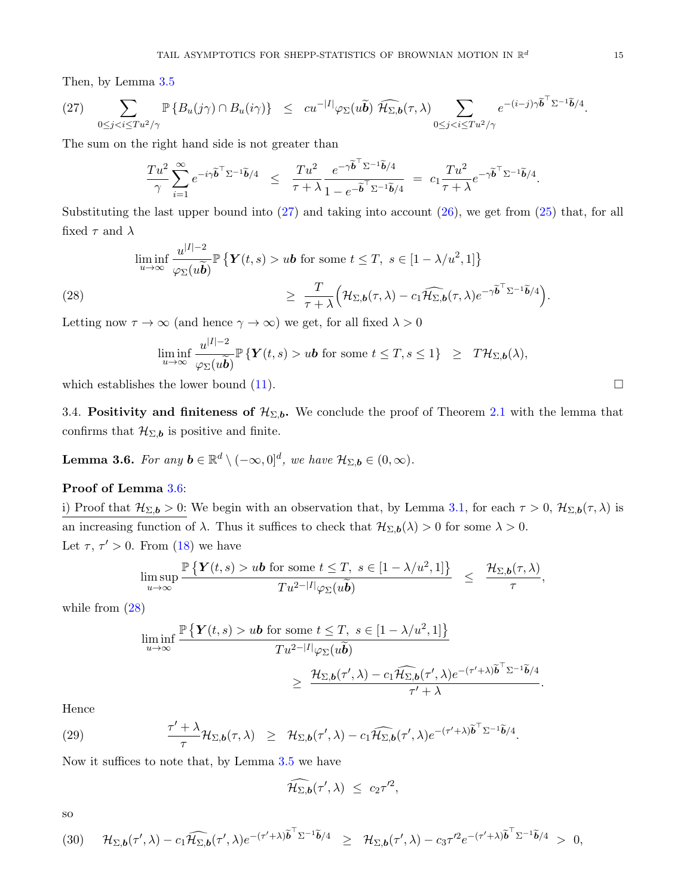Then, by Lemma [3.5](#page-11-1)

<span id="page-14-2"></span>
$$
(27) \sum_{0 \leq j < i \leq Tu^{2}/\gamma} \mathbb{P}\left\{B_{u}(j\gamma) \cap B_{u}(i\gamma)\right\} \leq cu^{-|I|} \varphi_{\Sigma}(u\widetilde{\boldsymbol{b}}) \widehat{\mathcal{H}_{\Sigma,\boldsymbol{b}}}(\tau,\lambda) \sum_{0 \leq j < i \leq Tu^{2}/\gamma} e^{-(i-j)\gamma \widetilde{\boldsymbol{b}}} \widehat{b}^{\top} \Sigma^{-1} \widetilde{\boldsymbol{b}}/4.
$$

The sum on the right hand side is not greater than

$$
\frac{T u^2}{\gamma} \sum_{i=1}^{\infty} e^{-i\gamma \widetilde{\boldsymbol{b}}^{\top} \Sigma^{-1} \widetilde{\boldsymbol{b}}/4} \leq \frac{T u^2}{\tau + \lambda} \frac{e^{-\gamma \widetilde{\boldsymbol{b}}^{\top} \Sigma^{-1} \widetilde{\boldsymbol{b}}/4}}{1 - e^{-\widetilde{\boldsymbol{b}}^{\top} \Sigma^{-1} \widetilde{\boldsymbol{b}}/4}} = c_1 \frac{T u^2}{\tau + \lambda} e^{-\gamma \widetilde{\boldsymbol{b}}^{\top} \Sigma^{-1} \widetilde{\boldsymbol{b}}/4}.
$$

Substituting the last upper bound into [\(27\)](#page-14-2) and taking into account [\(26\)](#page-13-0), we get from [\(25\)](#page-13-1) that, for all fixed  $\tau$  and  $\lambda$ 

<span id="page-14-3"></span>
$$
\liminf_{u \to \infty} \frac{u^{|I|-2}}{\varphi_{\Sigma}(u\widetilde{\boldsymbol{b}})} \mathbb{P} \left\{ \boldsymbol{Y}(t,s) > u\boldsymbol{b} \text{ for some } t \leq T, \ s \in [1 - \lambda/u^2, 1] \right\}
$$
\n
$$
\geq \frac{T}{\tau + \lambda} \Big( \mathcal{H}_{\Sigma, \boldsymbol{b}}(\tau, \lambda) - c_1 \widehat{\mathcal{H}_{\Sigma, \boldsymbol{b}}}(\tau, \lambda) e^{-\gamma \widetilde{\boldsymbol{b}}^{\top} \Sigma^{-1} \widetilde{\boldsymbol{b}}/4} \Big).
$$

Letting now  $\tau \to \infty$  (and hence  $\gamma \to \infty$ ) we get, for all fixed  $\lambda > 0$ 

$$
\liminf_{u\to\infty}\frac{u^{|I|-2}}{\varphi_{\Sigma}(u\widetilde{\boldsymbol{b}})}\mathbb{P}\left\{\boldsymbol{Y}(t,s)>u\boldsymbol{b}\text{ for some }t\leq T,s\leq 1\right\}\ \geq\ T\mathcal{H}_{\Sigma,\boldsymbol{b}}(\lambda),
$$

which establishes the lower bound  $(11)$ .

<span id="page-14-1"></span>3.4. Positivity and finiteness of  $\mathcal{H}_{\Sigma,b}$ . We conclude the proof of Theorem [2.1](#page-4-0) with the lemma that confirms that  $\mathcal{H}_{\Sigma,\mathbf{b}}$  is positive and finite.

<span id="page-14-0"></span>**Lemma 3.6.** For any  $\mathbf{b} \in \mathbb{R}^d \setminus (-\infty, 0]^d$ , we have  $\mathcal{H}_{\Sigma, \mathbf{b}} \in (0, \infty)$ .

### Proof of Lemma [3.6:](#page-14-0)

i) Proof that  $\mathcal{H}_{\Sigma,b} > 0$ : We begin with an observation that, by Lemma [3.1,](#page-5-2) for each  $\tau > 0$ ,  $\mathcal{H}_{\Sigma,b}(\tau,\lambda)$  is an increasing function of  $\lambda$ . Thus it suffices to check that  $\mathcal{H}_{\Sigma,\mathbf{b}}(\lambda) > 0$  for some  $\lambda > 0$ . Let  $\tau$ ,  $\tau' > 0$ . From [\(18\)](#page-8-3) we have

$$
\limsup_{u\to\infty}\frac{\mathbb{P}\left\{\mathbf{Y}(t,s)>u\mathbf{b}\text{ for some }t\leq T,\ s\in[1-\lambda/u^2,1]\right\}}{Tu^{2-|I|}\varphi_{\Sigma}(u\widetilde{\mathbf{b}})}\ \leq\ \frac{\mathcal{H}_{\Sigma,\mathbf{b}}(\tau,\lambda)}{\tau},
$$

while from [\(28\)](#page-14-3)

<span id="page-14-4"></span>
$$
\liminf_{u \to \infty} \frac{\mathbb{P}\left\{Y(t,s) > u\mathbf{b} \text{ for some } t \leq T, \ s \in [1 - \lambda/u^2, 1]\right\}}{Tu^{2-|I|}\varphi_{\Sigma}(u\widetilde{\mathbf{b}})} \geq \frac{\mathcal{H}_{\Sigma, \mathbf{b}}(\tau', \lambda) - c_1 \widehat{\mathcal{H}_{\Sigma, \mathbf{b}}}(\tau', \lambda) e^{-(\tau' + \lambda)\widetilde{\mathbf{b}}^{\top}\Sigma^{-1}\widetilde{\mathbf{b}}/4}}{\tau' + \lambda}.
$$

Hence

(29) 
$$
\frac{\tau' + \lambda}{\tau} \mathcal{H}_{\Sigma, \mathbf{b}}(\tau, \lambda) \geq \mathcal{H}_{\Sigma, \mathbf{b}}(\tau', \lambda) - c_1 \widehat{\mathcal{H}_{\Sigma, \mathbf{b}}}(\tau', \lambda) e^{-(\tau' + \lambda) \widetilde{\mathbf{b}}^{\top} \Sigma^{-1} \widetilde{\mathbf{b}}/4}.
$$

Now it suffices to note that, by Lemma [3.5](#page-11-1) we have

$$
\widehat{\mathcal{H}_{\Sigma,b}}(\tau',\lambda) \leq c_2\tau'^2,
$$

so

<span id="page-14-5"></span>
$$
(30) \quad \mathcal{H}_{\Sigma,\boldsymbol{b}}(\tau',\lambda)-c_1\widehat{\mathcal{H}_{\Sigma,\boldsymbol{b}}}(\tau',\lambda)e^{-(\tau'+\lambda)\widetilde{\boldsymbol{b}}^{\top}\Sigma^{-1}\widetilde{\boldsymbol{b}}/4}\geq \mathcal{H}_{\Sigma,\boldsymbol{b}}(\tau',\lambda)-c_3\tau'^{2}e^{-(\tau'+\lambda)\widetilde{\boldsymbol{b}}^{\top}\Sigma^{-1}\widetilde{\boldsymbol{b}}/4}>0,
$$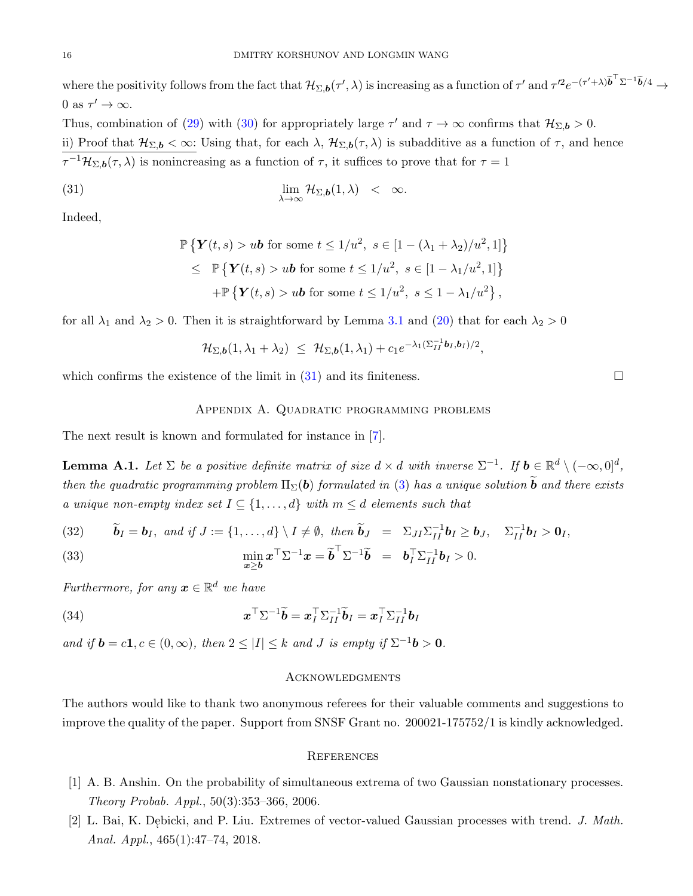where the positivity follows from the fact that  $\mathcal{H}_{\Sigma,\mathbf{b}}(\tau',\lambda)$  is increasing as a function of  $\tau'$  and  $\tau'^2e^{-(\tau'+\lambda)\tilde{\mathbf{b}}^{\top}\Sigma^{-1}\tilde{\mathbf{b}}/4} \to$ 0 as  $\tau' \to \infty$ .

Thus, combination of [\(29\)](#page-14-4) with [\(30\)](#page-14-5) for appropriately large  $\tau'$  and  $\tau \to \infty$  confirms that  $\mathcal{H}_{\Sigma,b} > 0$ . ii) Proof that  $\mathcal{H}_{\Sigma,\mathbf{b}} < \infty$ : Using that, for each  $\lambda$ ,  $\mathcal{H}_{\Sigma,\mathbf{b}}(\tau,\lambda)$  is subadditive as a function of  $\tau$ , and hence  $\tau^{-1}\mathcal{H}_{\Sigma,\mathbf{b}}(\tau,\lambda)$  is nonincreasing as a function of  $\tau$ , it suffices to prove that for  $\tau=1$ 

(31) 
$$
\lim_{\lambda \to \infty} \mathcal{H}_{\Sigma, b}(1, \lambda) < \infty.
$$

Indeed,

<span id="page-15-3"></span>
$$
\mathbb{P}\left\{\mathbf{Y}(t,s) > u\mathbf{b} \text{ for some } t \leq 1/u^2, \ s \in [1 - (\lambda_1 + \lambda_2)/u^2, 1] \right\}
$$
\n
$$
\leq \mathbb{P}\left\{\mathbf{Y}(t,s) > u\mathbf{b} \text{ for some } t \leq 1/u^2, \ s \in [1 - \lambda_1/u^2, 1] \right\}
$$
\n
$$
+ \mathbb{P}\left\{\mathbf{Y}(t,s) > u\mathbf{b} \text{ for some } t \leq 1/u^2, \ s \leq 1 - \lambda_1/u^2 \right\},
$$

for all  $\lambda_1$  and  $\lambda_2 > 0$ . Then it is straightforward by Lemma [3.1](#page-5-2) and [\(20\)](#page-9-1) that for each  $\lambda_2 > 0$ 

$$
\mathcal{H}_{\Sigma,\boldsymbol{b}}(1,\lambda_1+\lambda_2) \ \leq \ \mathcal{H}_{\Sigma,\boldsymbol{b}}(1,\lambda_1)+c_1e^{-\lambda_1(\Sigma_{II}^{-1}\boldsymbol{b}_I,\boldsymbol{b}_I)/2},
$$

which confirms the existence of the limit in  $(31)$  and its finiteness.

# Appendix A. Quadratic programming problems

The next result is known and formulated for instance in [\[7\]](#page-16-18).

<span id="page-15-2"></span>**Lemma A.1.** Let  $\Sigma$  be a positive definite matrix of size  $d \times d$  with inverse  $\Sigma^{-1}$ . If  $b \in \mathbb{R}^d \setminus (-\infty,0]^d$ , then the quadratic programming problem  $\Pi_{\Sigma}(\boldsymbol{b})$  formulated in [\(3\)](#page-3-1) has a unique solution  $\boldsymbol{b}$  and there exists a unique non-empty index set  $I \subseteq \{1, ..., d\}$  with  $m \leq d$  elements such that

(32) 
$$
\widetilde{\mathbf{b}}_I = \mathbf{b}_I
$$
, and if  $J := \{1, ..., d\} \setminus I \neq \emptyset$ , then  $\widetilde{\mathbf{b}}_J = \Sigma_{JI} \Sigma_{II}^{-1} \mathbf{b}_I \geq \mathbf{b}_J$ ,  $\Sigma_{II}^{-1} \mathbf{b}_I > \mathbf{0}_I$ ,  
(83)

(33) 
$$
\min_{\mathbf{x}\geq \mathbf{b}} \mathbf{x}^\top \Sigma^{-1} \mathbf{x} = \widetilde{\mathbf{b}}^\top \Sigma^{-1} \widetilde{\mathbf{b}} = \mathbf{b}_I^\top \Sigma_{II}^{-1} \mathbf{b}_I > 0.
$$

Furthermore, for any  $\boldsymbol{x} \in \mathbb{R}^d$  we have

(34) 
$$
\boldsymbol{x}^{\top} \Sigma^{-1} \widetilde{\boldsymbol{b}} = \boldsymbol{x}_I^{\top} \Sigma_{II}^{-1} \widetilde{\boldsymbol{b}}_I = \boldsymbol{x}_I^{\top} \Sigma_{II}^{-1} \boldsymbol{b}_I
$$

and if  $\mathbf{b} = c\mathbf{1}, c \in (0, \infty)$ , then  $2 \leq |I| \leq k$  and J is empty if  $\Sigma^{-1} \mathbf{b} > \mathbf{0}$ .

#### **ACKNOWLEDGMENTS**

The authors would like to thank two anonymous referees for their valuable comments and suggestions to improve the quality of the paper. Support from SNSF Grant no. 200021-175752/1 is kindly acknowledged.

#### **REFERENCES**

- <span id="page-15-0"></span>[1] A. B. Anshin. On the probability of simultaneous extrema of two Gaussian nonstationary processes. Theory Probab. Appl., 50(3):353–366, 2006.
- <span id="page-15-1"></span>[2] L. Bai, K. Debicki, and P. Liu. Extremes of vector-valued Gaussian processes with trend. J. Math. Anal. Appl., 465(1):47–74, 2018.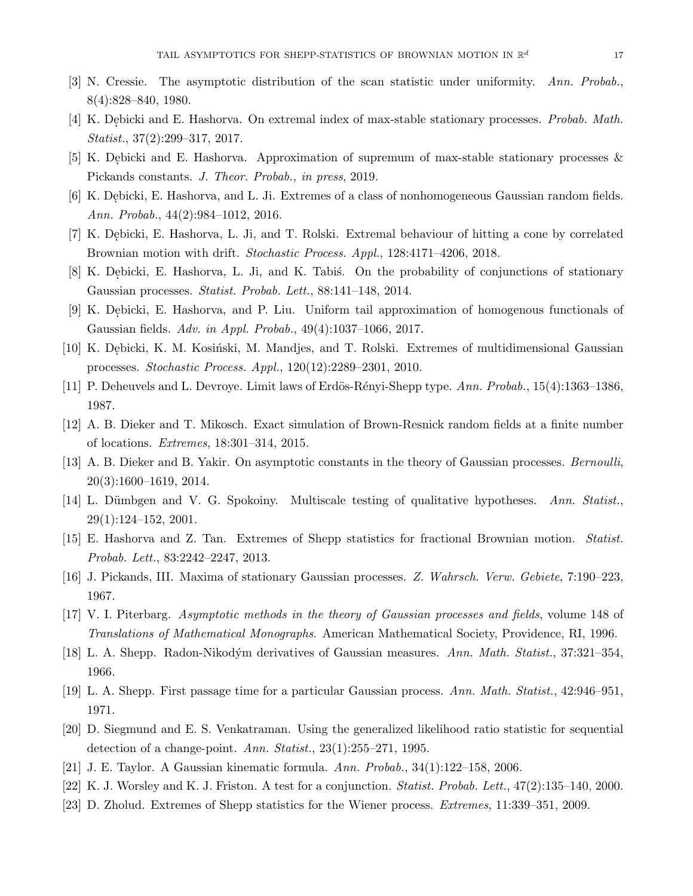- <span id="page-16-0"></span>[3] N. Cressie. The asymptotic distribution of the scan statistic under uniformity. Ann. Probab., 8(4):828–840, 1980.
- <span id="page-16-8"></span>[4] K. Debicki and E. Hashorva. On extremal index of max-stable stationary processes. *Probab. Math.* Statist., 37(2):299–317, 2017.
- <span id="page-16-9"></span>[5] K. Debicki and E. Hashorva. Approximation of supremum of max-stable stationary processes & Pickands constants. J. Theor. Probab., in press, 2019.
- <span id="page-16-1"></span>[6] K. Debicki, E. Hashorva, and L. Ji. Extremes of a class of nonhomogeneous Gaussian random fields. Ann. Probab., 44(2):984–1012, 2016.
- <span id="page-16-18"></span>[7] K. Debicki, E. Hashorva, L. Ji, and T. Rolski. Extremal behaviour of hitting a cone by correlated Brownian motion with drift. Stochastic Process. Appl., 128:4171–4206, 2018.
- <span id="page-16-17"></span>[8] K. Debicki, E. Hashorva, L. Ji, and K. Tabis. On the probability of conjunctions of stationary Gaussian processes. Statist. Probab. Lett., 88:141–148, 2014.
- <span id="page-16-19"></span>[9] K. Debicki, E. Hashorva, and P. Liu. Uniform tail approximation of homogenous functionals of Gaussian fields. Adv. in Appl. Probab., 49(4):1037–1066, 2017.
- <span id="page-16-16"></span>[10] K. Debicki, K. M. Kosiński, M. Mandjes, and T. Rolski. Extremes of multidimensional Gaussian processes. Stochastic Process. Appl., 120(12):2289–2301, 2010.
- <span id="page-16-2"></span>[11] P. Deheuvels and L. Devroye. Limit laws of Erdös-Rényi-Shepp type.  $Ann. Probab., 15(4):1363-1386,$ 1987.
- <span id="page-16-10"></span>[12] A. B. Dieker and T. Mikosch. Exact simulation of Brown-Resnick random fields at a finite number of locations. Extremes, 18:301–314, 2015.
- <span id="page-16-11"></span>[13] A. B. Dieker and B. Yakir. On asymptotic constants in the theory of Gaussian processes. Bernoulli, 20(3):1600–1619, 2014.
- <span id="page-16-3"></span>[14] L. Dümbgen and V. G. Spokoiny. Multiscale testing of qualitative hypotheses. Ann. Statist., 29(1):124–152, 2001.
- <span id="page-16-4"></span>[15] E. Hashorva and Z. Tan. Extremes of Shepp statistics for fractional Brownian motion. Statist. Probab. Lett., 83:2242–2247, 2013.
- <span id="page-16-12"></span>[16] J. Pickands, III. Maxima of stationary Gaussian processes. Z. Wahrsch. Verw. Gebiete, 7:190–223, 1967.
- <span id="page-16-13"></span>[17] V. I. Piterbarg. Asymptotic methods in the theory of Gaussian processes and fields, volume 148 of Translations of Mathematical Monographs. American Mathematical Society, Providence, RI, 1996.
- <span id="page-16-5"></span>[18] L. A. Shepp. Radon-Nikodým derivatives of Gaussian measures. Ann. Math. Statist., 37:321–354, 1966.
- [19] L. A. Shepp. First passage time for a particular Gaussian process. Ann. Math. Statist., 42:946–951, 1971.
- <span id="page-16-6"></span>[20] D. Siegmund and E. S. Venkatraman. Using the generalized likelihood ratio statistic for sequential detection of a change-point. Ann. Statist.,  $23(1):255-271$ , 1995.
- <span id="page-16-15"></span><span id="page-16-14"></span>[21] J. E. Taylor. A Gaussian kinematic formula. Ann. Probab., 34(1):122–158, 2006.
- <span id="page-16-7"></span>[22] K. J. Worsley and K. J. Friston. A test for a conjunction. Statist. Probab. Lett., 47(2):135–140, 2000.
- [23] D. Zholud. Extremes of Shepp statistics for the Wiener process. Extremes, 11:339–351, 2009.